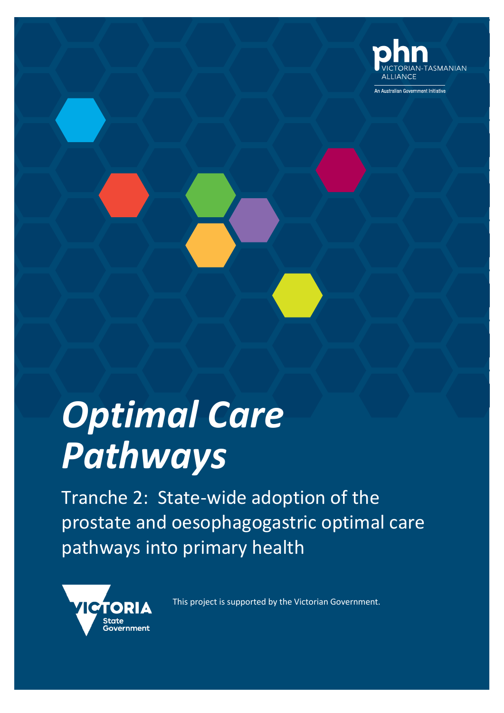

**An Australian Government Initiative** 

# *Optimal Care Pathways*

Tranche 2: State-wide adoption of the prostate and oesophagogastric optimal care pathways into primary health



This project is supported by the Victorian Government.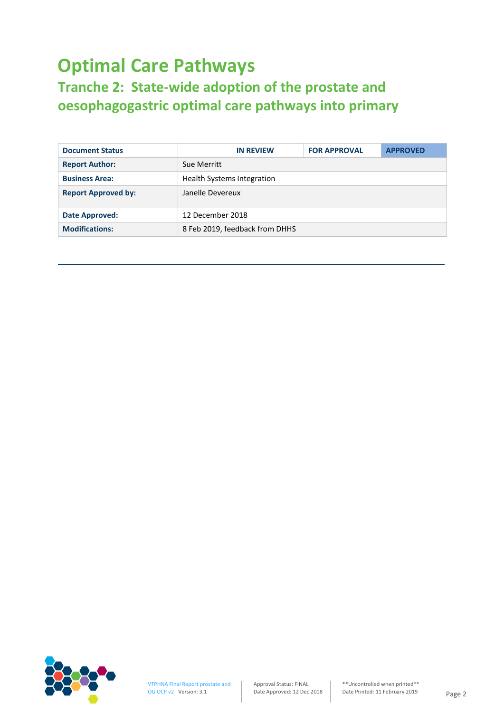# **Optimal Care Pathways**

## **Tranche 2: State-wide adoption of the prostate and oesophagogastric optimal care pathways into primary**

| <b>Document Status</b>     |                                   | <b>IN REVIEW</b>               | <b>FOR APPROVAL</b> | <b>APPROVED</b> |
|----------------------------|-----------------------------------|--------------------------------|---------------------|-----------------|
| <b>Report Author:</b>      | Sue Merritt                       |                                |                     |                 |
| <b>Business Area:</b>      | <b>Health Systems Integration</b> |                                |                     |                 |
| <b>Report Approved by:</b> | Janelle Devereux                  |                                |                     |                 |
| Date Approved:             | 12 December 2018                  |                                |                     |                 |
| <b>Modifications:</b>      |                                   | 8 Feb 2019, feedback from DHHS |                     |                 |

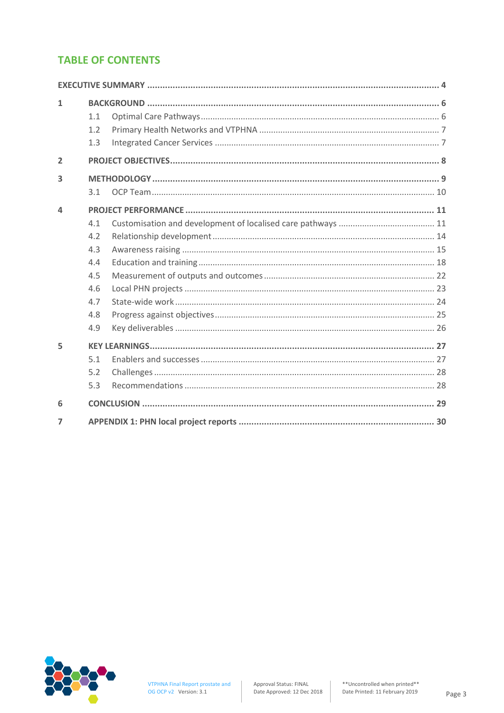## **TABLE OF CONTENTS**

| 1              | 1.1<br>1.2<br>1.3 |  |
|----------------|-------------------|--|
| $\overline{2}$ |                   |  |
| 3              | 3.1               |  |
| 4              |                   |  |
|                | 4.1               |  |
|                | 4.2               |  |
|                | 4.3               |  |
|                | 4.4               |  |
|                | 4.5               |  |
|                | 4.6               |  |
|                | 4.7               |  |
|                | 4.8               |  |
|                | 4.9               |  |
| 5              |                   |  |
|                | 5.1               |  |
|                | 5.2               |  |
|                | 5.3               |  |
| 6              |                   |  |
| $\overline{7}$ |                   |  |

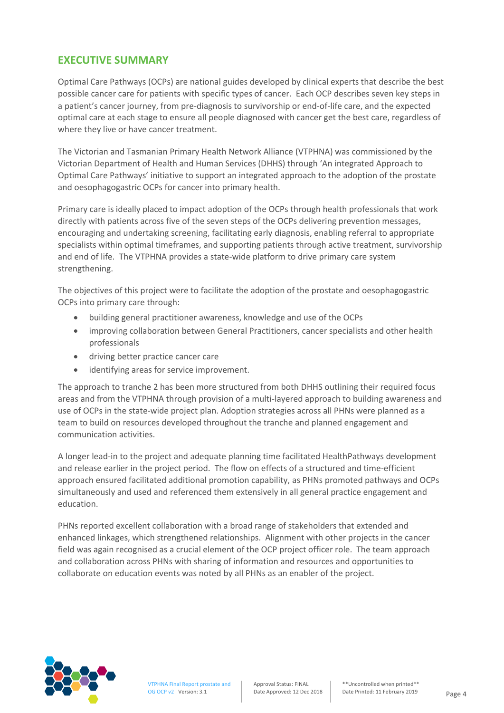## **EXECUTIVE SUMMARY**

Optimal Care Pathways (OCPs) are national guides developed by clinical experts that describe the best possible cancer care for patients with specific types of cancer. Each OCP describes seven key steps in a patient's cancer journey, from pre-diagnosis to survivorship or end-of-life care, and the expected optimal care at each stage to ensure all people diagnosed with cancer get the best care, regardless of where they live or have cancer treatment.

The Victorian and Tasmanian Primary Health Network Alliance (VTPHNA) was commissioned by the Victorian Department of Health and Human Services (DHHS) through 'An integrated Approach to Optimal Care Pathways' initiative to support an integrated approach to the adoption of the prostate and oesophagogastric OCPs for cancer into primary health.

Primary care is ideally placed to impact adoption of the OCPs through health professionals that work directly with patients across five of the seven steps of the OCPs delivering prevention messages, encouraging and undertaking screening, facilitating early diagnosis, enabling referral to appropriate specialists within optimal timeframes, and supporting patients through active treatment, survivorship and end of life. The VTPHNA provides a state-wide platform to drive primary care system strengthening.

The objectives of this project were to facilitate the adoption of the prostate and oesophagogastric OCPs into primary care through:

- building general practitioner awareness, knowledge and use of the OCPs
- improving collaboration between General Practitioners, cancer specialists and other health professionals
- driving better practice cancer care
- identifying areas for service improvement.

The approach to tranche 2 has been more structured from both DHHS outlining their required focus areas and from the VTPHNA through provision of a multi-layered approach to building awareness and use of OCPs in the state-wide project plan. Adoption strategies across all PHNs were planned as a team to build on resources developed throughout the tranche and planned engagement and communication activities.

A longer lead-in to the project and adequate planning time facilitated HealthPathways development and release earlier in the project period. The flow on effects of a structured and time-efficient approach ensured facilitated additional promotion capability, as PHNs promoted pathways and OCPs simultaneously and used and referenced them extensively in all general practice engagement and education.

PHNs reported excellent collaboration with a broad range of stakeholders that extended and enhanced linkages, which strengthened relationships. Alignment with other projects in the cancer field was again recognised as a crucial element of the OCP project officer role. The team approach and collaboration across PHNs with sharing of information and resources and opportunities to collaborate on education events was noted by all PHNs as an enabler of the project.

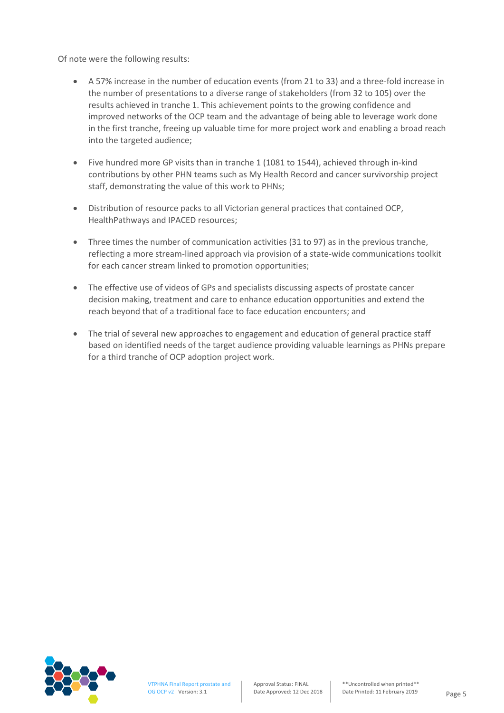Of note were the following results:

- A 57% increase in the number of education events (from 21 to 33) and a three-fold increase in the number of presentations to a diverse range of stakeholders (from 32 to 105) over the results achieved in tranche 1. This achievement points to the growing confidence and improved networks of the OCP team and the advantage of being able to leverage work done in the first tranche, freeing up valuable time for more project work and enabling a broad reach into the targeted audience;
- Five hundred more GP visits than in tranche 1 (1081 to 1544), achieved through in-kind contributions by other PHN teams such as My Health Record and cancer survivorship project staff, demonstrating the value of this work to PHNs;
- Distribution of resource packs to all Victorian general practices that contained OCP, HealthPathways and IPACED resources;
- Three times the number of communication activities (31 to 97) as in the previous tranche, reflecting a more stream-lined approach via provision of a state-wide communications toolkit for each cancer stream linked to promotion opportunities;
- The effective use of videos of GPs and specialists discussing aspects of prostate cancer decision making, treatment and care to enhance education opportunities and extend the reach beyond that of a traditional face to face education encounters; and
- The trial of several new approaches to engagement and education of general practice staff based on identified needs of the target audience providing valuable learnings as PHNs prepare for a third tranche of OCP adoption project work.

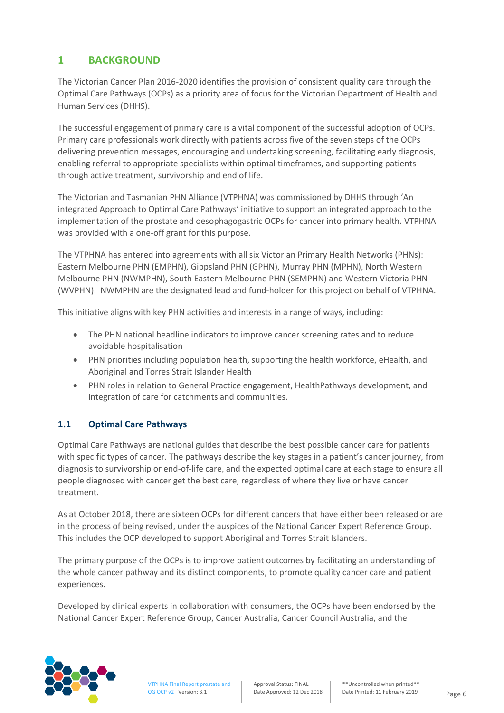## **1 BACKGROUND**

The Victorian Cancer Plan 2016-2020 identifies the provision of consistent quality care through the Optimal Care Pathways (OCPs) as a priority area of focus for the Victorian Department of Health and Human Services (DHHS).

The successful engagement of primary care is a vital component of the successful adoption of OCPs. Primary care professionals work directly with patients across five of the seven steps of the OCPs delivering prevention messages, encouraging and undertaking screening, facilitating early diagnosis, enabling referral to appropriate specialists within optimal timeframes, and supporting patients through active treatment, survivorship and end of life.

The Victorian and Tasmanian PHN Alliance (VTPHNA) was commissioned by DHHS through 'An integrated Approach to Optimal Care Pathways' initiative to support an integrated approach to the implementation of the prostate and oesophagogastric OCPs for cancer into primary health. VTPHNA was provided with a one-off grant for this purpose.

The VTPHNA has entered into agreements with all six Victorian Primary Health Networks (PHNs): Eastern Melbourne PHN (EMPHN), Gippsland PHN (GPHN), Murray PHN (MPHN), North Western Melbourne PHN (NWMPHN), South Eastern Melbourne PHN (SEMPHN) and Western Victoria PHN (WVPHN). NWMPHN are the designated lead and fund-holder for this project on behalf of VTPHNA.

This initiative aligns with key PHN activities and interests in a range of ways, including:

- The PHN national headline indicators to improve cancer screening rates and to reduce avoidable hospitalisation
- PHN priorities including population health, supporting the health workforce, eHealth, and Aboriginal and Torres Strait Islander Health
- PHN roles in relation to General Practice engagement, HealthPathways development, and integration of care for catchments and communities.

#### **1.1 Optimal Care Pathways**

Optimal Care Pathways are national guides that describe the best possible cancer care for patients with specific types of cancer. The pathways describe the key stages in a patient's cancer journey, from diagnosis to survivorship or end-of-life care, and the expected optimal care at each stage to ensure all people diagnosed with cancer get the best care, regardless of where they live or have cancer treatment.

As at October 2018, there are sixteen OCPs for different cancers that have either been released or are in the process of being revised, under the auspices of the National Cancer Expert Reference Group. This includes the OCP developed to support Aboriginal and Torres Strait Islanders.

The primary purpose of the OCPs is to improve patient outcomes by facilitating an understanding of the whole cancer pathway and its distinct components, to promote quality cancer care and patient experiences.

Developed by clinical experts in collaboration with consumers, the OCPs have been endorsed by the National Cancer Expert Reference Group, Cancer Australia, Cancer Council Australia, and the

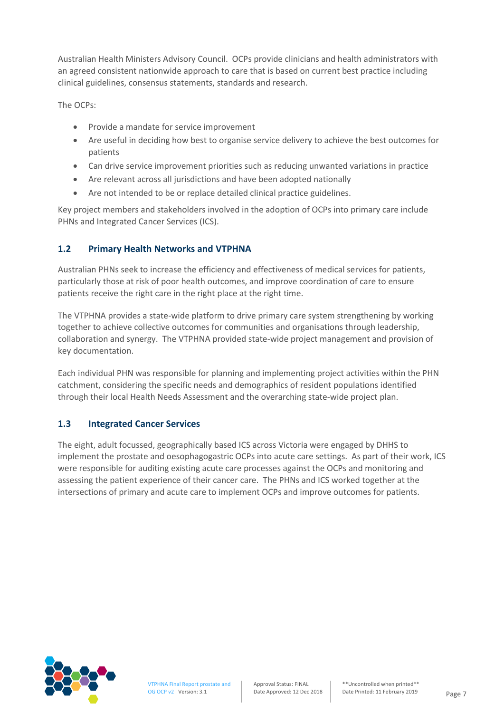Australian Health Ministers Advisory Council. OCPs provide clinicians and health administrators with an agreed consistent nationwide approach to care that is based on current best practice including clinical guidelines, consensus statements, standards and research.

The OCPs:

- Provide a mandate for service improvement
- Are useful in deciding how best to organise service delivery to achieve the best outcomes for patients
- Can drive service improvement priorities such as reducing unwanted variations in practice
- Are relevant across all jurisdictions and have been adopted nationally
- Are not intended to be or replace detailed clinical practice guidelines.

Key project members and stakeholders involved in the adoption of OCPs into primary care include PHNs and Integrated Cancer Services (ICS).

#### **1.2 Primary Health Networks and VTPHNA**

Australian PHNs seek to increase the efficiency and effectiveness of medical services for patients, particularly those at risk of poor health outcomes, and improve coordination of care to ensure patients receive the right care in the right place at the right time.

The VTPHNA provides a state-wide platform to drive primary care system strengthening by working together to achieve collective outcomes for communities and organisations through leadership, collaboration and synergy. The VTPHNA provided state-wide project management and provision of key documentation.

Each individual PHN was responsible for planning and implementing project activities within the PHN catchment, considering the specific needs and demographics of resident populations identified through their local Health Needs Assessment and the overarching state-wide project plan.

#### **1.3 Integrated Cancer Services**

The eight, adult focussed, geographically based ICS across Victoria were engaged by DHHS to implement the prostate and oesophagogastric OCPs into acute care settings. As part of their work, ICS were responsible for auditing existing acute care processes against the OCPs and monitoring and assessing the patient experience of their cancer care. The PHNs and ICS worked together at the intersections of primary and acute care to implement OCPs and improve outcomes for patients.

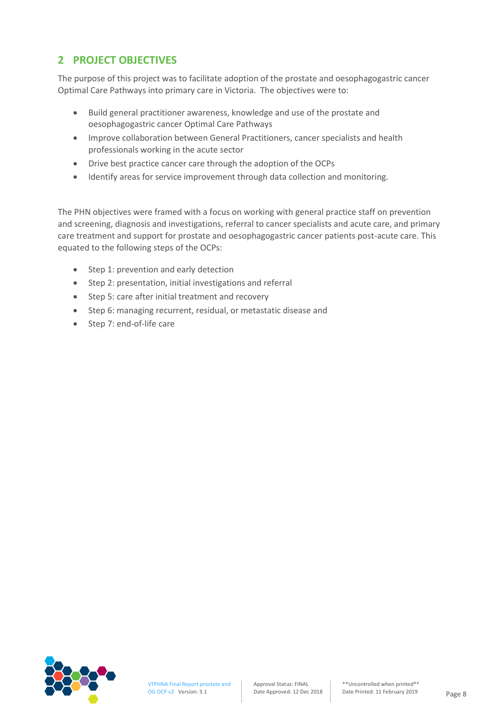## **2 PROJECT OBJECTIVES**

The purpose of this project was to facilitate adoption of the prostate and oesophagogastric cancer Optimal Care Pathways into primary care in Victoria. The objectives were to:

- Build general practitioner awareness, knowledge and use of the prostate and oesophagogastric cancer Optimal Care Pathways
- Improve collaboration between General Practitioners, cancer specialists and health professionals working in the acute sector
- Drive best practice cancer care through the adoption of the OCPs
- Identify areas for service improvement through data collection and monitoring.

The PHN objectives were framed with a focus on working with general practice staff on prevention and screening, diagnosis and investigations, referral to cancer specialists and acute care, and primary care treatment and support for prostate and oesophagogastric cancer patients post-acute care. This equated to the following steps of the OCPs:

- Step 1: prevention and early detection
- Step 2: presentation, initial investigations and referral
- Step 5: care after initial treatment and recovery
- Step 6: managing recurrent, residual, or metastatic disease and
- Step 7: end-of-life care

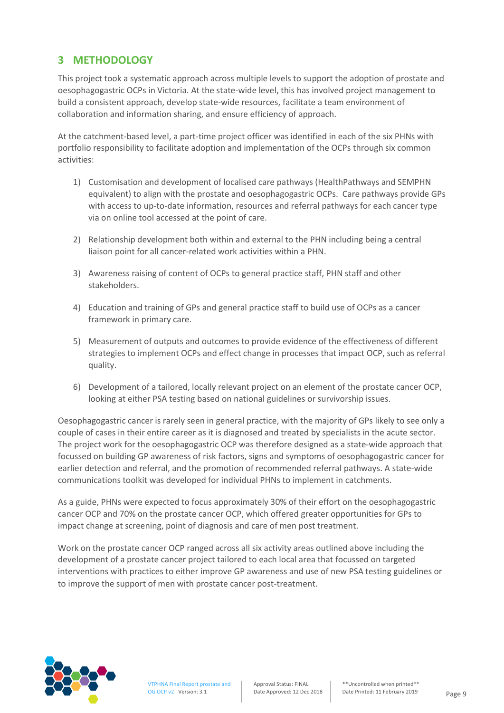## **3 METHODOLOGY**

This project took a systematic approach across multiple levels to support the adoption of prostate and oesophagogastric OCPs in Victoria. At the state-wide level, this has involved project management to build a consistent approach, develop state-wide resources, facilitate a team environment of collaboration and information sharing, and ensure efficiency of approach.

At the catchment-based level, a part-time project officer was identified in each of the six PHNs with portfolio responsibility to facilitate adoption and implementation of the OCPs through six common activities:

- 1) Customisation and development of localised care pathways (HealthPathways and SEMPHN equivalent) to align with the prostate and oesophagogastric OCPs. Care pathways provide GPs with access to up-to-date information, resources and referral pathways for each cancer type via on online tool accessed at the point of care.
- 2) Relationship development both within and external to the PHN including being a central liaison point for all cancer-related work activities within a PHN.
- 3) Awareness raising of content of OCPs to general practice staff, PHN staff and other stakeholders.
- 4) Education and training of GPs and general practice staff to build use of OCPs as a cancer framework in primary care.
- 5) Measurement of outputs and outcomes to provide evidence of the effectiveness of different strategies to implement OCPs and effect change in processes that impact OCP, such as referral quality.
- 6) Development of a tailored, locally relevant project on an element of the prostate cancer OCP, looking at either PSA testing based on national guidelines or survivorship issues.

Oesophagogastric cancer is rarely seen in general practice, with the majority of GPs likely to see only a couple of cases in their entire career as it is diagnosed and treated by specialists in the acute sector. The project work for the oesophagogastric OCP was therefore designed as a state-wide approach that focussed on building GP awareness of risk factors, signs and symptoms of oesophagogastric cancer for earlier detection and referral, and the promotion of recommended referral pathways. A state-wide communications toolkit was developed for individual PHNs to implement in catchments.

As a guide, PHNs were expected to focus approximately 30% of their effort on the oesophagogastric cancer OCP and 70% on the prostate cancer OCP, which offered greater opportunities for GPs to impact change at screening, point of diagnosis and care of men post treatment.

Work on the prostate cancer OCP ranged across all six activity areas outlined above including the development of a prostate cancer project tailored to each local area that focussed on targeted interventions with practices to either improve GP awareness and use of new PSA testing guidelines or to improve the support of men with prostate cancer post-treatment.

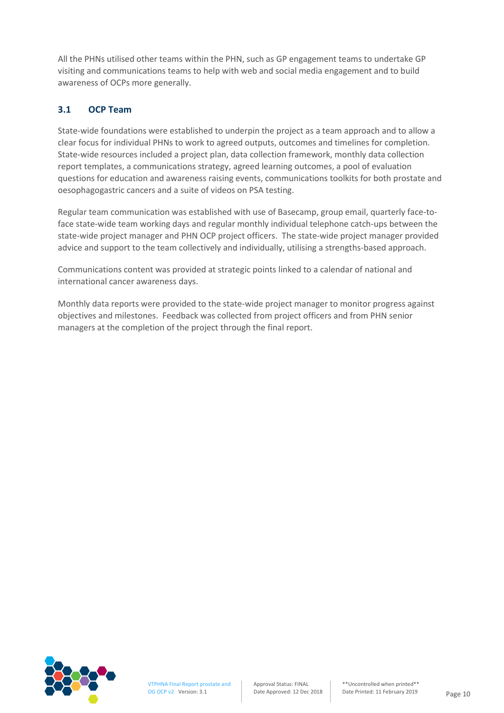All the PHNs utilised other teams within the PHN, such as GP engagement teams to undertake GP visiting and communications teams to help with web and social media engagement and to build awareness of OCPs more generally.

#### **3.1 OCP Team**

State-wide foundations were established to underpin the project as a team approach and to allow a clear focus for individual PHNs to work to agreed outputs, outcomes and timelines for completion. State-wide resources included a project plan, data collection framework, monthly data collection report templates, a communications strategy, agreed learning outcomes, a pool of evaluation questions for education and awareness raising events, communications toolkits for both prostate and oesophagogastric cancers and a suite of videos on PSA testing.

Regular team communication was established with use of Basecamp, group email, quarterly face-toface state-wide team working days and regular monthly individual telephone catch-ups between the state-wide project manager and PHN OCP project officers. The state-wide project manager provided advice and support to the team collectively and individually, utilising a strengths-based approach.

Communications content was provided at strategic points linked to a calendar of national and international cancer awareness days.

Monthly data reports were provided to the state-wide project manager to monitor progress against objectives and milestones. Feedback was collected from project officers and from PHN senior managers at the completion of the project through the final report.

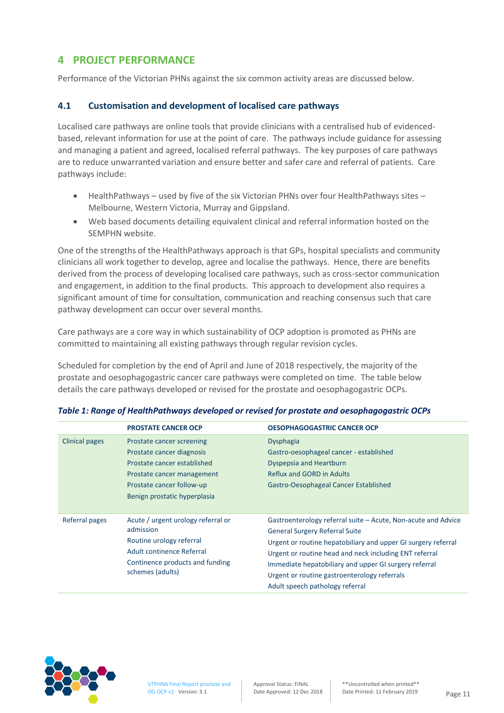## **4 PROJECT PERFORMANCE**

Performance of the Victorian PHNs against the six common activity areas are discussed below.

#### **4.1 Customisation and development of localised care pathways**

Localised care pathways are online tools that provide clinicians with a centralised hub of evidencedbased, relevant information for use at the point of care. The pathways include guidance for assessing and managing a patient and agreed, localised referral pathways. The key purposes of care pathways are to reduce unwarranted variation and ensure better and safer care and referral of patients. Care pathways include:

- HealthPathways used by five of the six Victorian PHNs over four HealthPathways sites Melbourne, Western Victoria, Murray and Gippsland.
- Web based documents detailing equivalent clinical and referral information hosted on the SEMPHN website.

One of the strengths of the HealthPathways approach is that GPs, hospital specialists and community clinicians all work together to develop, agree and localise the pathways. Hence, there are benefits derived from the process of developing localised care pathways, such as cross-sector communication and engagement, in addition to the final products. This approach to development also requires a significant amount of time for consultation, communication and reaching consensus such that care pathway development can occur over several months.

Care pathways are a core way in which sustainability of OCP adoption is promoted as PHNs are committed to maintaining all existing pathways through regular revision cycles.

Scheduled for completion by the end of April and June of 2018 respectively, the majority of the prostate and oesophagogastric cancer care pathways were completed on time. The table below details the care pathways developed or revised for the prostate and oesophagogastric OCPs.

|                | <b>PROSTATE CANCER OCP</b>         | <b>OESOPHAGOGASTRIC CANCER OCP</b>                            |
|----------------|------------------------------------|---------------------------------------------------------------|
| Clinical pages | Prostate cancer screening          | <b>Dysphagia</b>                                              |
|                | Prostate cancer diagnosis          | Gastro-oesophageal cancer - established                       |
|                | Prostate cancer established        | Dyspepsia and Heartburn                                       |
|                | Prostate cancer management         | <b>Reflux and GORD in Adults</b>                              |
|                | Prostate cancer follow-up          | Gastro-Oesophageal Cancer Established                         |
|                | Benign prostatic hyperplasia       |                                                               |
|                |                                    |                                                               |
| Referral pages | Acute / urgent urology referral or | Gastroenterology referral suite – Acute, Non-acute and Advice |
|                | admission                          | <b>General Surgery Referral Suite</b>                         |
|                | Routine urology referral           | Urgent or routine hepatobiliary and upper GI surgery referral |
|                | Adult continence Referral          | Urgent or routine head and neck including ENT referral        |
|                | Continence products and funding    | Immediate hepatobiliary and upper GI surgery referral         |
|                | schemes (adults)                   | Urgent or routine gastroenterology referrals                  |
|                |                                    | Adult speech pathology referral                               |

#### *Table 1: Range of HealthPathways developed or revised for prostate and oesophagogastric OCPs*

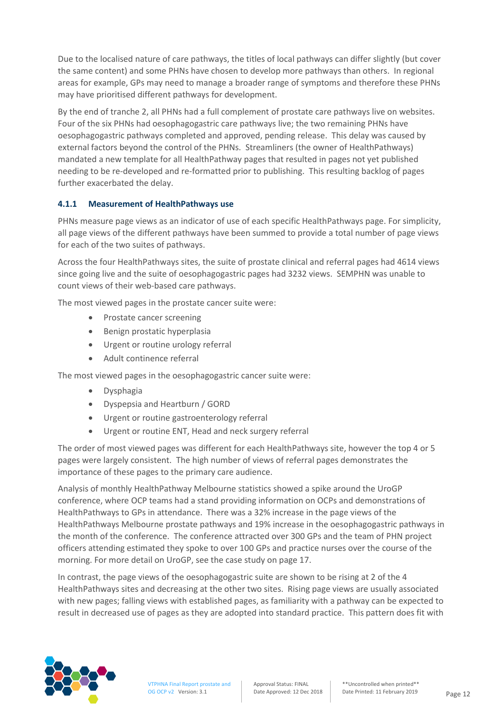Due to the localised nature of care pathways, the titles of local pathways can differ slightly (but cover the same content) and some PHNs have chosen to develop more pathways than others. In regional areas for example, GPs may need to manage a broader range of symptoms and therefore these PHNs may have prioritised different pathways for development.

By the end of tranche 2, all PHNs had a full complement of prostate care pathways live on websites. Four of the six PHNs had oesophagogastric care pathways live; the two remaining PHNs have oesophagogastric pathways completed and approved, pending release. This delay was caused by external factors beyond the control of the PHNs. Streamliners (the owner of HealthPathways) mandated a new template for all HealthPathway pages that resulted in pages not yet published needing to be re-developed and re-formatted prior to publishing. This resulting backlog of pages further exacerbated the delay.

#### **4.1.1 Measurement of HealthPathways use**

PHNs measure page views as an indicator of use of each specific HealthPathways page. For simplicity, all page views of the different pathways have been summed to provide a total number of page views for each of the two suites of pathways.

Across the four HealthPathways sites, the suite of prostate clinical and referral pages had 4614 views since going live and the suite of oesophagogastric pages had 3232 views. SEMPHN was unable to count views of their web-based care pathways.

The most viewed pages in the prostate cancer suite were:

- Prostate cancer screening
- Benign prostatic hyperplasia
- Urgent or routine urology referral
- Adult continence referral

The most viewed pages in the oesophagogastric cancer suite were:

- Dysphagia
- Dyspepsia and Heartburn / GORD
- Urgent or routine gastroenterology referral
- Urgent or routine ENT, Head and neck surgery referral

The order of most viewed pages was different for each HealthPathways site, however the top 4 or 5 pages were largely consistent. The high number of views of referral pages demonstrates the importance of these pages to the primary care audience.

Analysis of monthly HealthPathway Melbourne statistics showed a spike around the UroGP conference, where OCP teams had a stand providing information on OCPs and demonstrations of HealthPathways to GPs in attendance. There was a 32% increase in the page views of the HealthPathways Melbourne prostate pathways and 19% increase in the oesophagogastric pathways in the month of the conference. The conference attracted over 300 GPs and the team of PHN project officers attending estimated they spoke to over 100 GPs and practice nurses over the course of the morning. For more detail on UroGP, see the case study on page 17.

In contrast, the page views of the oesophagogastric suite are shown to be rising at 2 of the 4 HealthPathways sites and decreasing at the other two sites. Rising page views are usually associated with new pages; falling views with established pages, as familiarity with a pathway can be expected to result in decreased use of pages as they are adopted into standard practice. This pattern does fit with

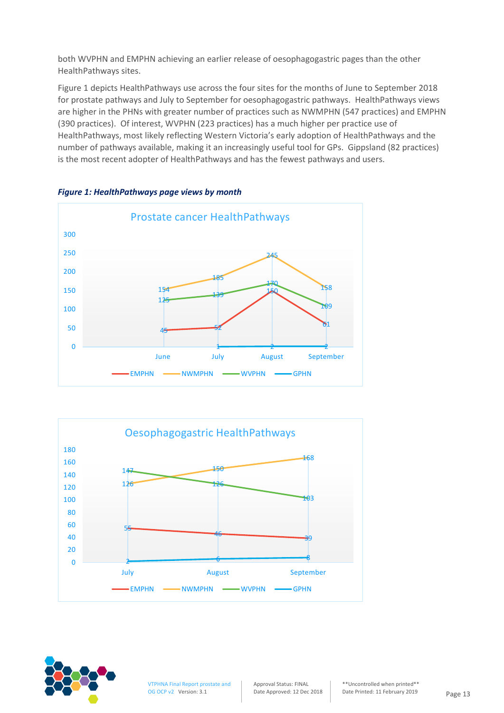both WVPHN and EMPHN achieving an earlier release of oesophagogastric pages than the other HealthPathways sites.

Figure 1 depicts HealthPathways use across the four sites for the months of June to September 2018 for prostate pathways and July to September for oesophagogastric pathways. HealthPathways views are higher in the PHNs with greater number of practices such as NWMPHN (547 practices) and EMPHN (390 practices). Of interest, WVPHN (223 practices) has a much higher per practice use of HealthPathways, most likely reflecting Western Victoria's early adoption of HealthPathways and the number of pathways available, making it an increasingly useful tool for GPs. Gippsland (82 practices) is the most recent adopter of HealthPathways and has the fewest pathways and users.



*Figure 1: HealthPathways page views by month*





VTPHNA Final Report prostate and OG OCP v2 Version: 3.1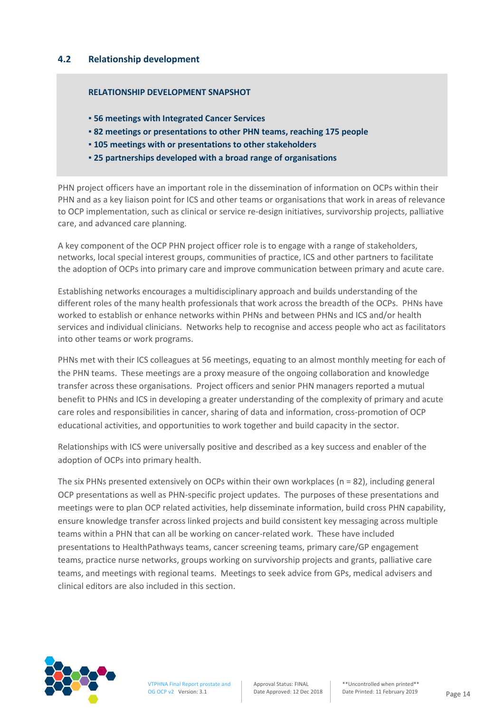#### **4.2 Relationship development**

#### **RELATIONSHIP DEVELOPMENT SNAPSHOT**

- **▪ 56 meetings with Integrated Cancer Services**
- **▪ 82 meetings or presentations to other PHN teams, reaching 175 people**
- **▪ 105 meetings with or presentations to other stakeholders**
- **▪ 25 partnerships developed with a broad range of organisations**

PHN project officers have an important role in the dissemination of information on OCPs within their PHN and as a key liaison point for ICS and other teams or organisations that work in areas of relevance to OCP implementation, such as clinical or service re-design initiatives, survivorship projects, palliative care, and advanced care planning.

A key component of the OCP PHN project officer role is to engage with a range of stakeholders, networks, local special interest groups, communities of practice, ICS and other partners to facilitate the adoption of OCPs into primary care and improve communication between primary and acute care.

Establishing networks encourages a multidisciplinary approach and builds understanding of the different roles of the many health professionals that work across the breadth of the OCPs. PHNs have worked to establish or enhance networks within PHNs and between PHNs and ICS and/or health services and individual clinicians. Networks help to recognise and access people who act as facilitators into other teams or work programs.

PHNs met with their ICS colleagues at 56 meetings, equating to an almost monthly meeting for each of the PHN teams. These meetings are a proxy measure of the ongoing collaboration and knowledge transfer across these organisations. Project officers and senior PHN managers reported a mutual benefit to PHNs and ICS in developing a greater understanding of the complexity of primary and acute care roles and responsibilities in cancer, sharing of data and information, cross-promotion of OCP educational activities, and opportunities to work together and build capacity in the sector.

Relationships with ICS were universally positive and described as a key success and enabler of the adoption of OCPs into primary health.

The six PHNs presented extensively on OCPs within their own workplaces ( $n = 82$ ), including general OCP presentations as well as PHN-specific project updates. The purposes of these presentations and meetings were to plan OCP related activities, help disseminate information, build cross PHN capability, ensure knowledge transfer across linked projects and build consistent key messaging across multiple teams within a PHN that can all be working on cancer-related work. These have included presentations to HealthPathways teams, cancer screening teams, primary care/GP engagement teams, practice nurse networks, groups working on survivorship projects and grants, palliative care teams, and meetings with regional teams. Meetings to seek advice from GPs, medical advisers and clinical editors are also included in this section.

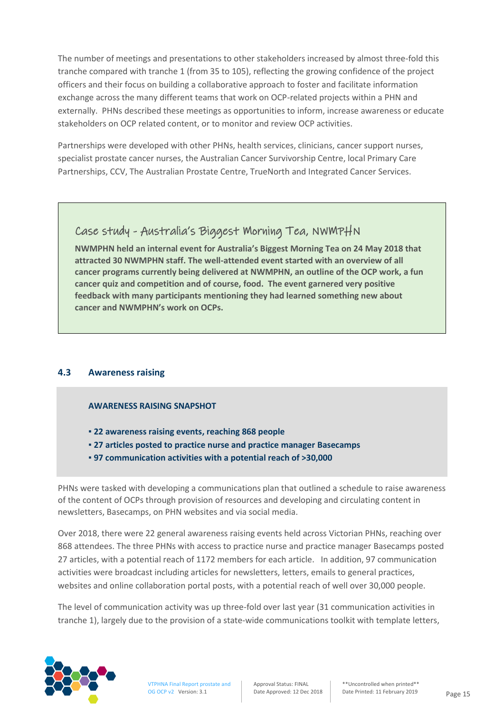The number of meetings and presentations to other stakeholders increased by almost three-fold this tranche compared with tranche 1 (from 35 to 105), reflecting the growing confidence of the project officers and their focus on building a collaborative approach to foster and facilitate information exchange across the many different teams that work on OCP-related projects within a PHN and externally. PHNs described these meetings as opportunities to inform, increase awareness or educate stakeholders on OCP related content, or to monitor and review OCP activities.

Partnerships were developed with other PHNs, health services, clinicians, cancer support nurses, specialist prostate cancer nurses, the Australian Cancer Survivorship Centre, local Primary Care Partnerships, CCV, The Australian Prostate Centre, TrueNorth and Integrated Cancer Services.

## Case study - Australia's Biggest Morning Tea, NWMPHN

**NWMPHN held an internal event for Australia's Biggest Morning Tea on 24 May 2018 that attracted 30 NWMPHN staff. The well-attended event started with an overview of all cancer programs currently being delivered at NWMPHN, an outline of the OCP work, a fun cancer quiz and competition and of course, food. The event garnered very positive feedback with many participants mentioning they had learned something new about cancer and NWMPHN's work on OCPs.**

#### **4.3 Awareness raising**

#### **AWARENESS RAISING SNAPSHOT**

- **▪ 22 awareness raising events, reaching 868 people**
- **▪ 27 articles posted to practice nurse and practice manager Basecamps**
- **▪ 97 communication activities with a potential reach of >30,000**

PHNs were tasked with developing a communications plan that outlined a schedule to raise awareness of the content of OCPs through provision of resources and developing and circulating content in newsletters, Basecamps, on PHN websites and via social media.

Over 2018, there were 22 general awareness raising events held across Victorian PHNs, reaching over 868 attendees. The three PHNs with access to practice nurse and practice manager Basecamps posted 27 articles, with a potential reach of 1172 members for each article. In addition, 97 communication activities were broadcast including articles for newsletters, letters, emails to general practices, websites and online collaboration portal posts, with a potential reach of well over 30,000 people.

The level of communication activity was up three-fold over last year (31 communication activities in tranche 1), largely due to the provision of a state-wide communications toolkit with template letters,

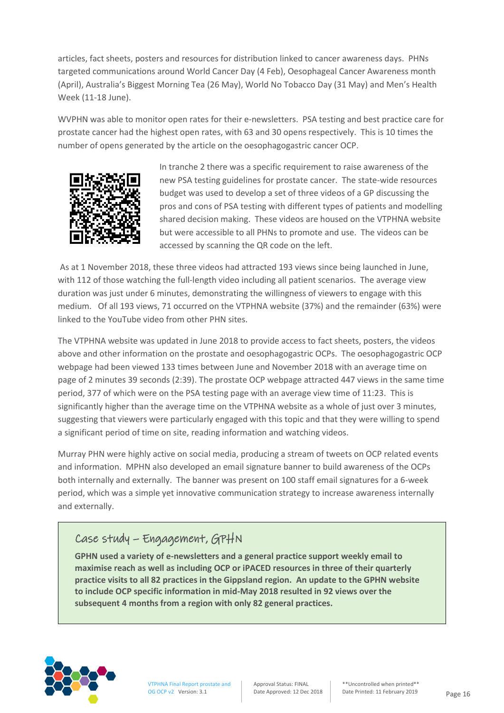articles, fact sheets, posters and resources for distribution linked to cancer awareness days. PHNs targeted communications around World Cancer Day (4 Feb), Oesophageal Cancer Awareness month (April), Australia's Biggest Morning Tea (26 May), World No Tobacco Day (31 May) and Men's Health Week (11-18 June).

WVPHN was able to monitor open rates for their e-newsletters. PSA testing and best practice care for prostate cancer had the highest open rates, with 63 and 30 opens respectively. This is 10 times the number of opens generated by the article on the oesophagogastric cancer OCP.



In tranche 2 there was a specific requirement to raise awareness of the new PSA testing guidelines for prostate cancer. The state-wide resources budget was used to develop a set of three videos of a GP discussing the pros and cons of PSA testing with different types of patients and modelling shared decision making. These videos are housed on the VTPHNA website but were accessible to all PHNs to promote and use. The videos can be accessed by scanning the QR code on the left.

As at 1 November 2018, these three videos had attracted 193 views since being launched in June, with 112 of those watching the full-length video including all patient scenarios. The average view duration was just under 6 minutes, demonstrating the willingness of viewers to engage with this medium. Of all 193 views, 71 occurred on the VTPHNA website (37%) and the remainder (63%) were linked to the YouTube video from other PHN sites.

The VTPHNA website was updated in June 2018 to provide access to fact sheets, posters, the videos above and other information on the prostate and oesophagogastric OCPs. The oesophagogastric OCP webpage had been viewed 133 times between June and November 2018 with an average time on page of 2 minutes 39 seconds (2:39). The prostate OCP webpage attracted 447 views in the same time period, 377 of which were on the PSA testing page with an average view time of 11:23. This is significantly higher than the average time on the VTPHNA website as a whole of just over 3 minutes, suggesting that viewers were particularly engaged with this topic and that they were willing to spend a significant period of time on site, reading information and watching videos.

Murray PHN were highly active on social media, producing a stream of tweets on OCP related events and information. MPHN also developed an email signature banner to build awareness of the OCPs both internally and externally. The banner was present on 100 staff email signatures for a 6-week period, which was a simple yet innovative communication strategy to increase awareness internally and externally.

## Case study – Engagement, GPHN

**GPHN used a variety of e-newsletters and a general practice support weekly email to maximise reach as well as including OCP or iPACED resources in three of their quarterly practice visits to all 82 practices in the Gippsland region. An update to the GPHN website to include OCP specific information in mid-May 2018 resulted in 92 views over the subsequent 4 months from a region with only 82 general practices.** 

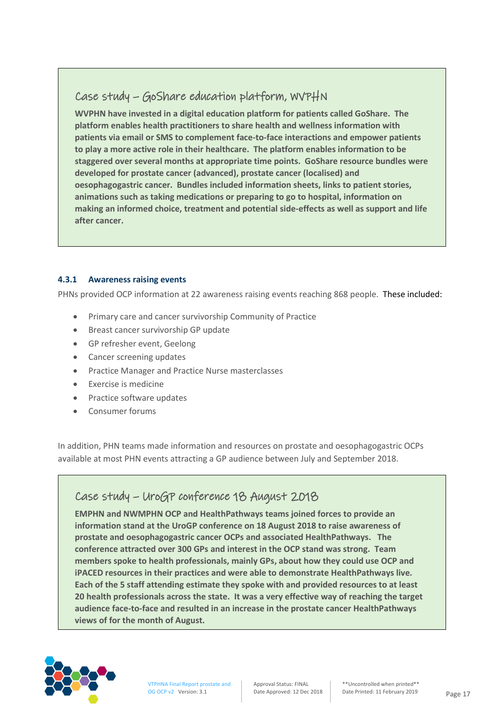## Case study – GoShare education platform, WVPHN

**WVPHN have invested in a digital education platform for patients called GoShare. The platform enables health practitioners to share health and wellness information with patients via email or SMS to complement face-to-face interactions and empower patients to play a more active role in their healthcare. The platform enables information to be staggered over several months at appropriate time points. GoShare resource bundles were developed for prostate cancer (advanced), prostate cancer (localised) and oesophagogastric cancer. Bundles included information sheets, links to patient stories, animations such as taking medications or preparing to go to hospital, information on making an informed choice, treatment and potential side-effects as well as support and life after cancer.**

#### **4.3.1 Awareness raising events**

PHNs provided OCP information at 22 awareness raising events reaching 868 people. These included:

- Primary care and cancer survivorship Community of Practice
- Breast cancer survivorship GP update
- GP refresher event, Geelong
- Cancer screening updates
- Practice Manager and Practice Nurse masterclasses
- Exercise is medicine
- Practice software updates
- Consumer forums

In addition, PHN teams made information and resources on prostate and oesophagogastric OCPs available at most PHN events attracting a GP audience between July and September 2018.

## Case study – UroGP conference 18 August 2018

**EMPHN and NWMPHN OCP and HealthPathways teams joined forces to provide an information stand at the UroGP conference on 18 August 2018 to raise awareness of prostate and oesophagogastric cancer OCPs and associated HealthPathways. The conference attracted over 300 GPs and interest in the OCP stand was strong. Team members spoke to health professionals, mainly GPs, about how they could use OCP and iPACED resources in their practices and were able to demonstrate HealthPathways live. Each of the 5 staff attending estimate they spoke with and provided resources to at least 20 health professionals across the state. It was a very effective way of reaching the target audience face-to-face and resulted in an increase in the prostate cancer HealthPathways views of for the month of August.**

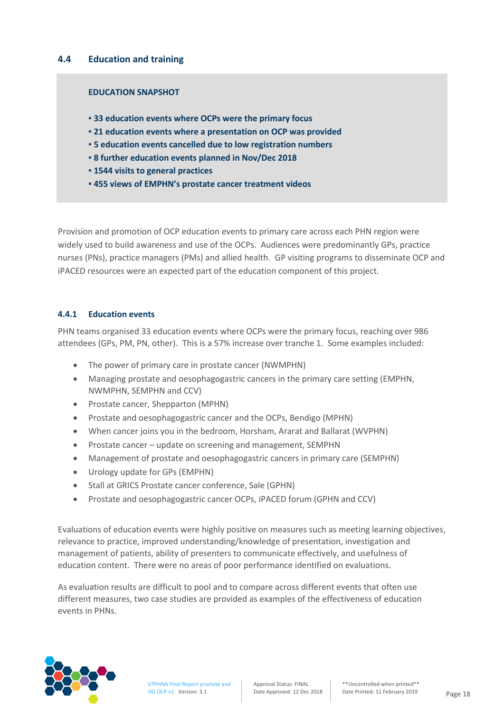#### **4.4 Education and training**

#### **EDUCATION SNAPSHOT**

- **▪ 33 education events where OCPs were the primary focus**
- **▪ 21 education events where a presentation on OCP was provided**
- **▪ 5 education events cancelled due to low registration numbers**
- **▪ 8 further education events planned in Nov/Dec 2018**
- **▪ 1544 visits to general practices**
- **▪ 455 views of EMPHN's prostate cancer treatment videos**

Provision and promotion of OCP education events to primary care across each PHN region were widely used to build awareness and use of the OCPs. Audiences were predominantly GPs, practice nurses (PNs), practice managers (PMs) and allied health. GP visiting programs to disseminate OCP and iPACED resources were an expected part of the education component of this project.

#### **4.4.1 Education events**

PHN teams organised 33 education events where OCPs were the primary focus, reaching over 986 attendees (GPs, PM, PN, other). This is a 57% increase over tranche 1. Some examples included:

- The power of primary care in prostate cancer (NWMPHN)
- Managing prostate and oesophagogastric cancers in the primary care setting (EMPHN, NWMPHN, SEMPHN and CCV)
- Prostate cancer, Shepparton (MPHN)
- Prostate and oesophagogastric cancer and the OCPs, Bendigo (MPHN)
- When cancer joins you in the bedroom, Horsham, Ararat and Ballarat (WVPHN)
- Prostate cancer update on screening and management, SEMPHN
- Management of prostate and oesophagogastric cancers in primary care (SEMPHN)
- Urology update for GPs (EMPHN)
- Stall at GRICS Prostate cancer conference, Sale (GPHN)
- Prostate and oesophagogastric cancer OCPs, iPACED forum (GPHN and CCV)

Evaluations of education events were highly positive on measures such as meeting learning objectives, relevance to practice, improved understanding/knowledge of presentation, investigation and management of patients, ability of presenters to communicate effectively, and usefulness of education content. There were no areas of poor performance identified on evaluations.

As evaluation results are difficult to pool and to compare across different events that often use different measures, two case studies are provided as examples of the effectiveness of education events in PHNs.

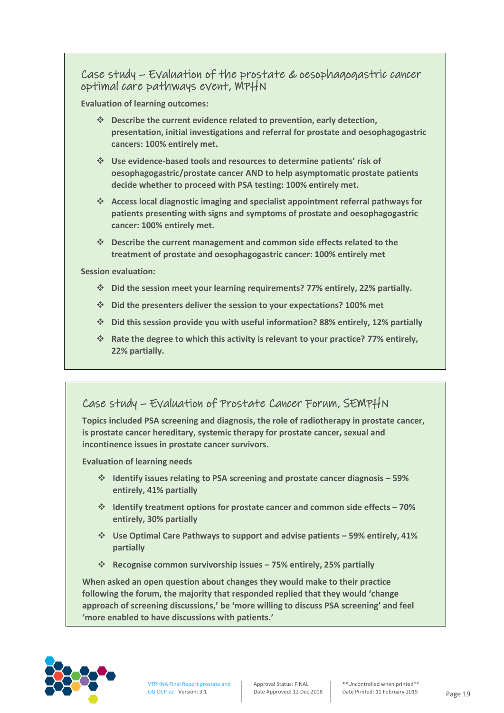## Case study – Evaluation of the prostate & oesophagogastric cancer optimal care pathways event, MPHN

**Evaluation of learning outcomes:**

- ❖ **Describe the current evidence related to prevention, early detection, presentation, initial investigations and referral for prostate and oesophagogastric cancers: 100% entirely met.**
- ❖ **Use evidence-based tools and resources to determine patients' risk of oesophagogastric/prostate cancer AND to help asymptomatic prostate patients decide whether to proceed with PSA testing: 100% entirely met.**
- ❖ **Access local diagnostic imaging and specialist appointment referral pathways for patients presenting with signs and symptoms of prostate and oesophagogastric cancer: 100% entirely met.**
- ❖ **Describe the current management and common side effects related to the treatment of prostate and oesophagogastric cancer: 100% entirely met**

**Session evaluation:**

- ❖ **Did the session meet your learning requirements? 77% entirely, 22% partially.**
- ❖ **Did the presenters deliver the session to your expectations? 100% met**
- ❖ **Did this session provide you with useful information? 88% entirely, 12% partially**
- ❖ **Rate the degree to which this activity is relevant to your practice? 77% entirely, 22% partially.**

## Case study – Evaluation of Prostate Cancer Forum, SEMPHN

**Topics included PSA screening and diagnosis, the role of radiotherapy in prostate cancer, is prostate cancer hereditary, systemic therapy for prostate cancer, sexual and incontinence issues in prostate cancer survivors.**

**Evaluation of learning needs**

- ❖ **Identify issues relating to PSA screening and prostate cancer diagnosis – 59% entirely, 41% partially**
- ❖ **Identify treatment options for prostate cancer and common side effects – 70% entirely, 30% partially**
- ❖ **Use Optimal Care Pathways to support and advise patients – 59% entirely, 41% partially**
- ❖ **Recognise common survivorship issues – 75% entirely, 25% partially**

**When asked an open question about changes they would make to their practice following the forum, the majority that responded replied that they would 'change approach of screening discussions,' be 'more willing to discuss PSA screening' and feel 'more enabled to have discussions with patients.'**

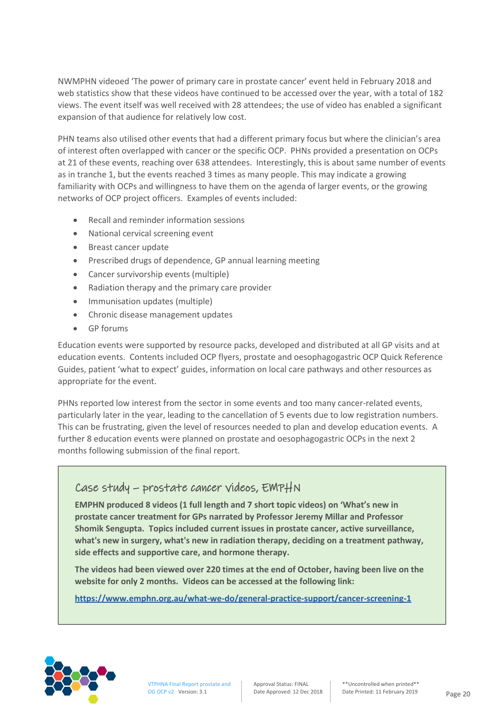NWMPHN videoed 'The power of primary care in prostate cancer' event held in February 2018 and web statistics show that these videos have continued to be accessed over the year, with a total of 182 views. The event itself was well received with 28 attendees; the use of video has enabled a significant expansion of that audience for relatively low cost.

PHN teams also utilised other events that had a different primary focus but where the clinician's area of interest often overlapped with cancer or the specific OCP. PHNs provided a presentation on OCPs at 21 of these events, reaching over 638 attendees. Interestingly, this is about same number of events as in tranche 1, but the events reached 3 times as many people. This may indicate a growing familiarity with OCPs and willingness to have them on the agenda of larger events, or the growing networks of OCP project officers. Examples of events included:

- Recall and reminder information sessions
- National cervical screening event
- Breast cancer update
- Prescribed drugs of dependence, GP annual learning meeting
- Cancer survivorship events (multiple)
- Radiation therapy and the primary care provider
- Immunisation updates (multiple)
- Chronic disease management updates
- GP forums

Education events were supported by resource packs, developed and distributed at all GP visits and at education events. Contents included OCP flyers, prostate and oesophagogastric OCP Quick Reference Guides, patient 'what to expect' guides, information on local care pathways and other resources as appropriate for the event.

PHNs reported low interest from the sector in some events and too many cancer-related events, particularly later in the year, leading to the cancellation of 5 events due to low registration numbers. This can be frustrating, given the level of resources needed to plan and develop education events. A further 8 education events were planned on prostate and oesophagogastric OCPs in the next 2 months following submission of the final report.

## Case study – prostate cancer videos, EMPHN

**EMPHN produced 8 videos (1 full length and 7 short topic videos) on 'What's new in prostate cancer treatment for GPs narrated by Professor Jeremy Millar and Professor Shomik Sengupta. Topics included [current issues in prostate cancer,](https://vimeo.com/288289539) [active surveillance,](https://vimeo.com/288287427) [what's new](https://vimeo.com/288289827) in surgery, what's new in [radiation therapy,](https://vimeo.com/288288990) [deciding on a](https://vimeo.com/288282769) treatment pathway, [side effects and supportive care,](https://vimeo.com/288280368) an[d hormone therapy.](https://vimeo.com/288285282)**

**The videos had been viewed over 220 times at the end of October, having been live on the website for only 2 months. Videos can be accessed at the following link:** 

**<https://www.emphn.org.au/what-we-do/general-practice-support/cancer-screening-1>**

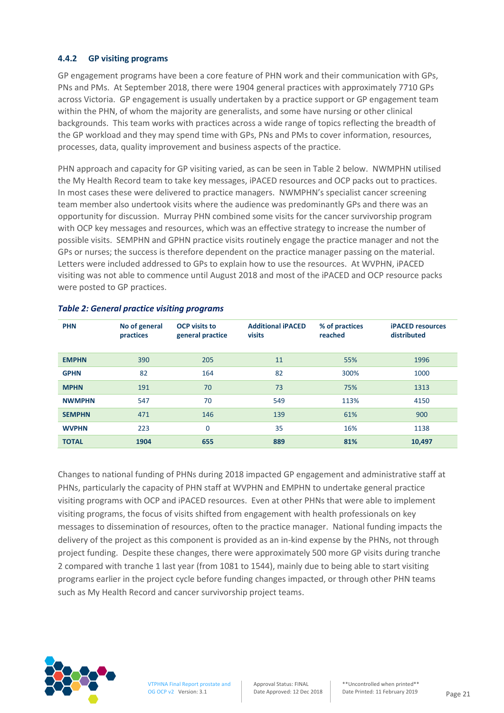#### **4.4.2 GP visiting programs**

GP engagement programs have been a core feature of PHN work and their communication with GPs, PNs and PMs. At September 2018, there were 1904 general practices with approximately 7710 GPs across Victoria. GP engagement is usually undertaken by a practice support or GP engagement team within the PHN, of whom the majority are generalists, and some have nursing or other clinical backgrounds. This team works with practices across a wide range of topics reflecting the breadth of the GP workload and they may spend time with GPs, PNs and PMs to cover information, resources, processes, data, quality improvement and business aspects of the practice.

PHN approach and capacity for GP visiting varied, as can be seen in Table 2 below. NWMPHN utilised the My Health Record team to take key messages, iPACED resources and OCP packs out to practices. In most cases these were delivered to practice managers. NWMPHN's specialist cancer screening team member also undertook visits where the audience was predominantly GPs and there was an opportunity for discussion. Murray PHN combined some visits for the cancer survivorship program with OCP key messages and resources, which was an effective strategy to increase the number of possible visits. SEMPHN and GPHN practice visits routinely engage the practice manager and not the GPs or nurses; the success is therefore dependent on the practice manager passing on the material. Letters were included addressed to GPs to explain how to use the resources. At WVPHN, iPACED visiting was not able to commence until August 2018 and most of the iPACED and OCP resource packs were posted to GP practices.

| <b>PHN</b>    | No of general<br>practices | <b>OCP</b> visits to<br>general practice | <b>Additional iPACED</b><br>visits | % of practices<br>reached | <b>iPACED</b> resources<br>distributed |
|---------------|----------------------------|------------------------------------------|------------------------------------|---------------------------|----------------------------------------|
| <b>EMPHN</b>  | 390                        | 205                                      | 11                                 | 55%                       | 1996                                   |
| <b>GPHN</b>   | 82                         | 164                                      | 82                                 | 300%                      | 1000                                   |
| <b>MPHN</b>   | 191                        | 70                                       | 73                                 | 75%                       | 1313                                   |
| <b>NWMPHN</b> | 547                        | 70                                       | 549                                | 113%                      | 4150                                   |
| <b>SEMPHN</b> | 471                        | 146                                      | 139                                | 61%                       | 900                                    |
| <b>WVPHN</b>  | 223                        | 0                                        | 35                                 | 16%                       | 1138                                   |
| <b>TOTAL</b>  | 1904                       | 655                                      | 889                                | 81%                       | 10,497                                 |

#### *Table 2: General practice visiting programs*

Changes to national funding of PHNs during 2018 impacted GP engagement and administrative staff at PHNs, particularly the capacity of PHN staff at WVPHN and EMPHN to undertake general practice visiting programs with OCP and iPACED resources. Even at other PHNs that were able to implement visiting programs, the focus of visits shifted from engagement with health professionals on key messages to dissemination of resources, often to the practice manager. National funding impacts the delivery of the project as this component is provided as an in-kind expense by the PHNs, not through project funding. Despite these changes, there were approximately 500 more GP visits during tranche 2 compared with tranche 1 last year (from 1081 to 1544), mainly due to being able to start visiting programs earlier in the project cycle before funding changes impacted, or through other PHN teams such as My Health Record and cancer survivorship project teams.

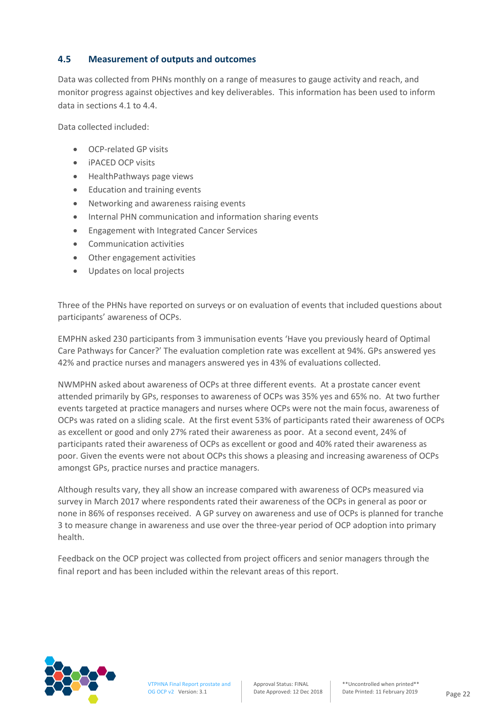#### **4.5 Measurement of outputs and outcomes**

Data was collected from PHNs monthly on a range of measures to gauge activity and reach, and monitor progress against objectives and key deliverables. This information has been used to inform data in sections 4.1 to 4.4.

Data collected included:

- OCP-related GP visits
- iPACED OCP visits
- HealthPathways page views
- Education and training events
- Networking and awareness raising events
- Internal PHN communication and information sharing events
- Engagement with Integrated Cancer Services
- Communication activities
- Other engagement activities
- Updates on local projects

Three of the PHNs have reported on surveys or on evaluation of events that included questions about participants' awareness of OCPs.

EMPHN asked 230 participants from 3 immunisation events 'Have you previously heard of Optimal Care Pathways for Cancer?' The evaluation completion rate was excellent at 94%. GPs answered yes 42% and practice nurses and managers answered yes in 43% of evaluations collected.

NWMPHN asked about awareness of OCPs at three different events. At a prostate cancer event attended primarily by GPs, responses to awareness of OCPs was 35% yes and 65% no. At two further events targeted at practice managers and nurses where OCPs were not the main focus, awareness of OCPs was rated on a sliding scale. At the first event 53% of participants rated their awareness of OCPs as excellent or good and only 27% rated their awareness as poor. At a second event, 24% of participants rated their awareness of OCPs as excellent or good and 40% rated their awareness as poor. Given the events were not about OCPs this shows a pleasing and increasing awareness of OCPs amongst GPs, practice nurses and practice managers.

Although results vary, they all show an increase compared with awareness of OCPs measured via survey in March 2017 where respondents rated their awareness of the OCPs in general as poor or none in 86% of responses received. A GP survey on awareness and use of OCPs is planned for tranche 3 to measure change in awareness and use over the three-year period of OCP adoption into primary health.

Feedback on the OCP project was collected from project officers and senior managers through the final report and has been included within the relevant areas of this report.

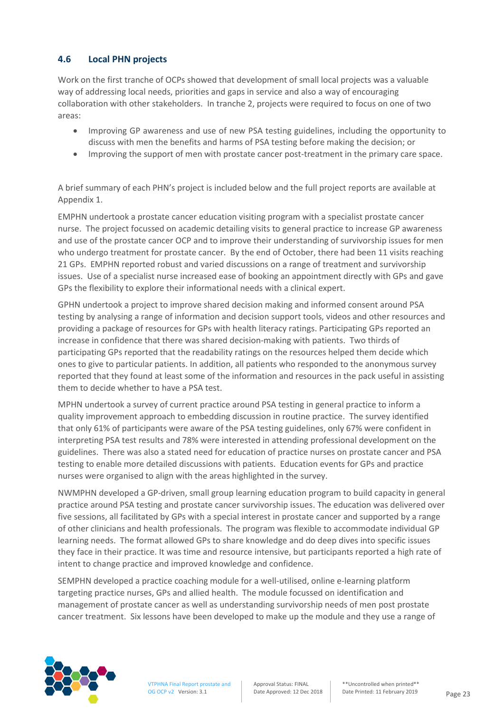#### **4.6 Local PHN projects**

Work on the first tranche of OCPs showed that development of small local projects was a valuable way of addressing local needs, priorities and gaps in service and also a way of encouraging collaboration with other stakeholders. In tranche 2, projects were required to focus on one of two areas:

- Improving GP awareness and use of new PSA testing guidelines, including the opportunity to discuss with men the benefits and harms of PSA testing before making the decision; or
- Improving the support of men with prostate cancer post-treatment in the primary care space.

A brief summary of each PHN's project is included below and the full project reports are available at Appendix 1.

EMPHN undertook a prostate cancer education visiting program with a specialist prostate cancer nurse. The project focussed on academic detailing visits to general practice to increase GP awareness and use of the prostate cancer OCP and to improve their understanding of survivorship issues for men who undergo treatment for prostate cancer. By the end of October, there had been 11 visits reaching 21 GPs. EMPHN reported robust and varied discussions on a range of treatment and survivorship issues. Use of a specialist nurse increased ease of booking an appointment directly with GPs and gave GPs the flexibility to explore their informational needs with a clinical expert.

GPHN undertook a project to improve shared decision making and informed consent around PSA testing by analysing a range of information and decision support tools, videos and other resources and providing a package of resources for GPs with health literacy ratings. Participating GPs reported an increase in confidence that there was shared decision-making with patients. Two thirds of participating GPs reported that the readability ratings on the resources helped them decide which ones to give to particular patients. In addition, all patients who responded to the anonymous survey reported that they found at least some of the information and resources in the pack useful in assisting them to decide whether to have a PSA test.

MPHN undertook a survey of current practice around PSA testing in general practice to inform a quality improvement approach to embedding discussion in routine practice. The survey identified that only 61% of participants were aware of the PSA testing guidelines, only 67% were confident in interpreting PSA test results and 78% were interested in attending professional development on the guidelines. There was also a stated need for education of practice nurses on prostate cancer and PSA testing to enable more detailed discussions with patients. Education events for GPs and practice nurses were organised to align with the areas highlighted in the survey.

NWMPHN developed a GP-driven, small group learning education program to build capacity in general practice around PSA testing and prostate cancer survivorship issues. The education was delivered over five sessions, all facilitated by GPs with a special interest in prostate cancer and supported by a range of other clinicians and health professionals. The program was flexible to accommodate individual GP learning needs. The format allowed GPs to share knowledge and do deep dives into specific issues they face in their practice. It was time and resource intensive, but participants reported a high rate of intent to change practice and improved knowledge and confidence.

SEMPHN developed a practice coaching module for a well-utilised, online e-learning platform targeting practice nurses, GPs and allied health. The module focussed on identification and management of prostate cancer as well as understanding survivorship needs of men post prostate cancer treatment. Six lessons have been developed to make up the module and they use a range of

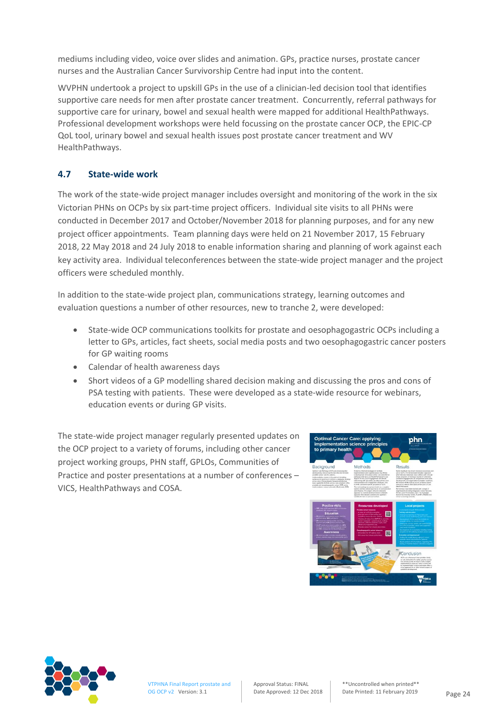mediums including video, voice over slides and animation. GPs, practice nurses, prostate cancer nurses and the Australian Cancer Survivorship Centre had input into the content.

WVPHN undertook a project to upskill GPs in the use of a clinician-led decision tool that identifies supportive care needs for men after prostate cancer treatment. Concurrently, referral pathways for supportive care for urinary, bowel and sexual health were mapped for additional HealthPathways. Professional development workshops were held focussing on the prostate cancer OCP, the EPIC-CP QoL tool, urinary bowel and sexual health issues post prostate cancer treatment and WV HealthPathways.

#### **4.7 State-wide work**

The work of the state-wide project manager includes oversight and monitoring of the work in the six Victorian PHNs on OCPs by six part-time project officers. Individual site visits to all PHNs were conducted in December 2017 and October/November 2018 for planning purposes, and for any new project officer appointments. Team planning days were held on 21 November 2017, 15 February 2018, 22 May 2018 and 24 July 2018 to enable information sharing and planning of work against each key activity area. Individual teleconferences between the state-wide project manager and the project officers were scheduled monthly.

In addition to the state-wide project plan, communications strategy, learning outcomes and evaluation questions a number of other resources, new to tranche 2, were developed:

- State-wide OCP communications toolkits for prostate and oesophagogastric OCPs including a letter to GPs, articles, fact sheets, social media posts and two oesophagogastric cancer posters for GP waiting rooms
- Calendar of health awareness days
- Short videos of a GP modelling shared decision making and discussing the pros and cons of PSA testing with patients. These were developed as a state-wide resource for webinars, education events or during GP visits.

The state-wide project manager regularly presented updates on the OCP project to a variety of forums, including other cancer project working groups, PHN staff, GPLOs, Communities of Practice and poster presentations at a number of conferences – VICS, HealthPathways and COSA.



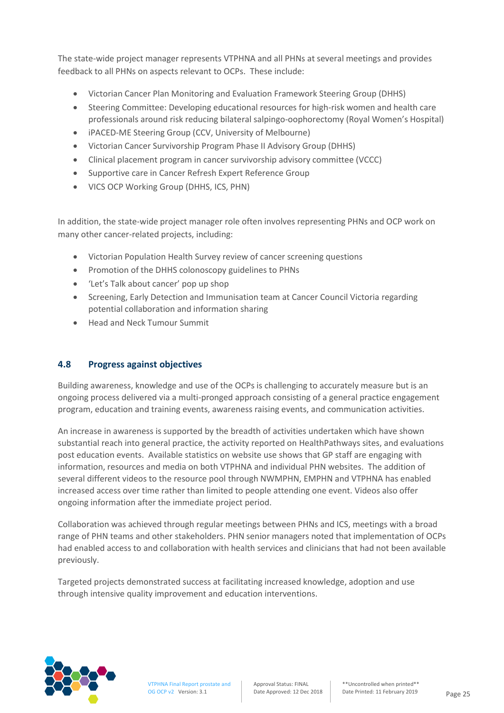The state-wide project manager represents VTPHNA and all PHNs at several meetings and provides feedback to all PHNs on aspects relevant to OCPs. These include:

- Victorian Cancer Plan Monitoring and Evaluation Framework Steering Group (DHHS)
- Steering Committee: Developing educational resources for high-risk women and health care professionals around risk reducing bilateral salpingo-oophorectomy (Royal Women's Hospital)
- iPACED-ME Steering Group (CCV, University of Melbourne)
- Victorian Cancer Survivorship Program Phase II Advisory Group (DHHS)
- Clinical placement program in cancer survivorship advisory committee (VCCC)
- Supportive care in Cancer Refresh Expert Reference Group
- VICS OCP Working Group (DHHS, ICS, PHN)

In addition, the state-wide project manager role often involves representing PHNs and OCP work on many other cancer-related projects, including:

- Victorian Population Health Survey review of cancer screening questions
- Promotion of the DHHS colonoscopy guidelines to PHNs
- 'Let's Talk about cancer' pop up shop
- Screening, Early Detection and Immunisation team at Cancer Council Victoria regarding potential collaboration and information sharing
- Head and Neck Tumour Summit

#### **4.8 Progress against objectives**

Building awareness, knowledge and use of the OCPs is challenging to accurately measure but is an ongoing process delivered via a multi-pronged approach consisting of a general practice engagement program, education and training events, awareness raising events, and communication activities.

An increase in awareness is supported by the breadth of activities undertaken which have shown substantial reach into general practice, the activity reported on HealthPathways sites, and evaluations post education events. Available statistics on website use shows that GP staff are engaging with information, resources and media on both VTPHNA and individual PHN websites. The addition of several different videos to the resource pool through NWMPHN, EMPHN and VTPHNA has enabled increased access over time rather than limited to people attending one event. Videos also offer ongoing information after the immediate project period.

Collaboration was achieved through regular meetings between PHNs and ICS, meetings with a broad range of PHN teams and other stakeholders. PHN senior managers noted that implementation of OCPs had enabled access to and collaboration with health services and clinicians that had not been available previously.

Targeted projects demonstrated success at facilitating increased knowledge, adoption and use through intensive quality improvement and education interventions.

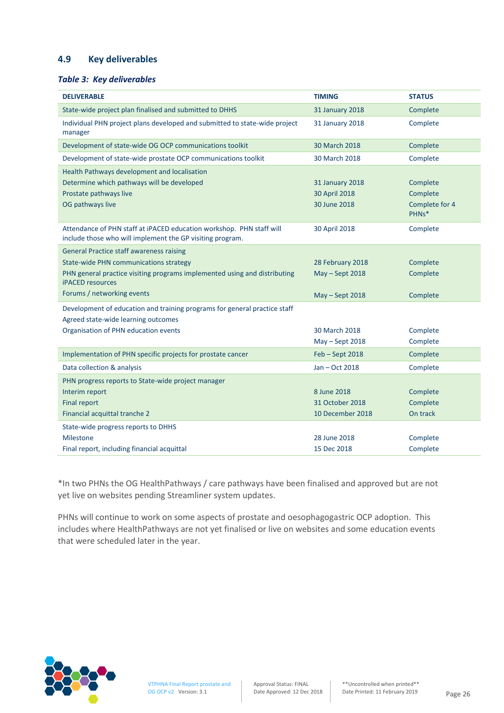#### **4.9 Key deliverables**

#### *Table 3: Key deliverables*

| <b>DELIVERABLE</b>                                                                                                                | <b>TIMING</b>          | <b>STATUS</b>           |
|-----------------------------------------------------------------------------------------------------------------------------------|------------------------|-------------------------|
| State-wide project plan finalised and submitted to DHHS                                                                           | <b>31 January 2018</b> | Complete                |
| Individual PHN project plans developed and submitted to state-wide project<br>manager                                             | 31 January 2018        | Complete                |
| Development of state-wide OG OCP communications toolkit                                                                           | 30 March 2018          | Complete                |
| Development of state-wide prostate OCP communications toolkit                                                                     | 30 March 2018          | Complete                |
| Health Pathways development and localisation                                                                                      |                        |                         |
| Determine which pathways will be developed                                                                                        | <b>31 January 2018</b> | Complete                |
| Prostate pathways live                                                                                                            | 30 April 2018          | Complete                |
| OG pathways live                                                                                                                  | 30 June 2018           | Complete for 4<br>PHNs* |
| Attendance of PHN staff at iPACED education workshop. PHN staff will<br>include those who will implement the GP visiting program. | 30 April 2018          | Complete                |
| <b>General Practice staff awareness raising</b>                                                                                   |                        |                         |
| <b>State-wide PHN communications strategy</b>                                                                                     | 28 February 2018       | Complete                |
| PHN general practice visiting programs implemented using and distributing<br><b>iPACED</b> resources                              | May - Sept 2018        | Complete                |
| Forums / networking events                                                                                                        | May - Sept 2018        | Complete                |
| Development of education and training programs for general practice staff<br>Agreed state-wide learning outcomes                  |                        |                         |
| Organisation of PHN education events                                                                                              | 30 March 2018          | Complete                |
|                                                                                                                                   | May - Sept 2018        | Complete                |
| Implementation of PHN specific projects for prostate cancer                                                                       | Feb - Sept 2018        | Complete                |
| Data collection & analysis                                                                                                        | Jan - Oct 2018         | Complete                |
| PHN progress reports to State-wide project manager                                                                                |                        |                         |
| Interim report                                                                                                                    | 8 June 2018            | Complete                |
| <b>Final report</b>                                                                                                               | 31 October 2018        | Complete                |
| Financial acquittal tranche 2                                                                                                     | 10 December 2018       | On track                |
| State-wide progress reports to DHHS                                                                                               |                        |                         |
| <b>Milestone</b>                                                                                                                  | 28 June 2018           | Complete                |
| Final report, including financial acquittal                                                                                       | 15 Dec 2018            | Complete                |

\*In two PHNs the OG HealthPathways / care pathways have been finalised and approved but are not yet live on websites pending Streamliner system updates.

PHNs will continue to work on some aspects of prostate and oesophagogastric OCP adoption. This includes where HealthPathways are not yet finalised or live on websites and some education events that were scheduled later in the year.

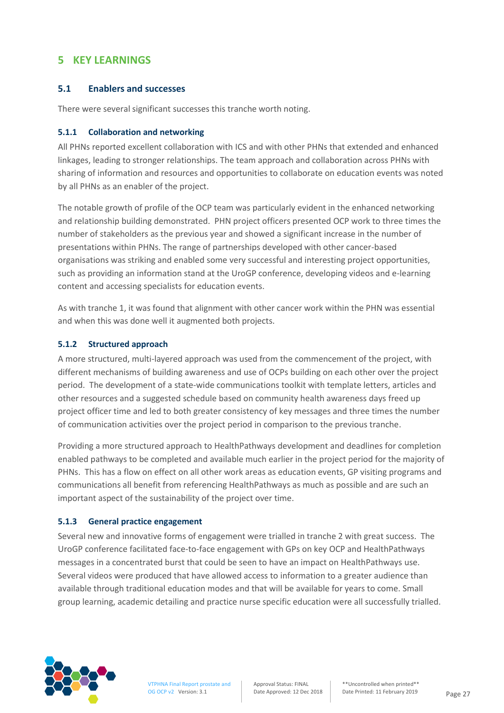## **5 KEY LEARNINGS**

#### **5.1 Enablers and successes**

There were several significant successes this tranche worth noting.

#### **5.1.1 Collaboration and networking**

All PHNs reported excellent collaboration with ICS and with other PHNs that extended and enhanced linkages, leading to stronger relationships. The team approach and collaboration across PHNs with sharing of information and resources and opportunities to collaborate on education events was noted by all PHNs as an enabler of the project.

The notable growth of profile of the OCP team was particularly evident in the enhanced networking and relationship building demonstrated. PHN project officers presented OCP work to three times the number of stakeholders as the previous year and showed a significant increase in the number of presentations within PHNs. The range of partnerships developed with other cancer-based organisations was striking and enabled some very successful and interesting project opportunities, such as providing an information stand at the UroGP conference, developing videos and e-learning content and accessing specialists for education events.

As with tranche 1, it was found that alignment with other cancer work within the PHN was essential and when this was done well it augmented both projects.

#### **5.1.2 Structured approach**

A more structured, multi-layered approach was used from the commencement of the project, with different mechanisms of building awareness and use of OCPs building on each other over the project period. The development of a state-wide communications toolkit with template letters, articles and other resources and a suggested schedule based on community health awareness days freed up project officer time and led to both greater consistency of key messages and three times the number of communication activities over the project period in comparison to the previous tranche.

Providing a more structured approach to HealthPathways development and deadlines for completion enabled pathways to be completed and available much earlier in the project period for the majority of PHNs. This has a flow on effect on all other work areas as education events, GP visiting programs and communications all benefit from referencing HealthPathways as much as possible and are such an important aspect of the sustainability of the project over time.

#### **5.1.3 General practice engagement**

Several new and innovative forms of engagement were trialled in tranche 2 with great success. The UroGP conference facilitated face-to-face engagement with GPs on key OCP and HealthPathways messages in a concentrated burst that could be seen to have an impact on HealthPathways use. Several videos were produced that have allowed access to information to a greater audience than available through traditional education modes and that will be available for years to come. Small group learning, academic detailing and practice nurse specific education were all successfully trialled.

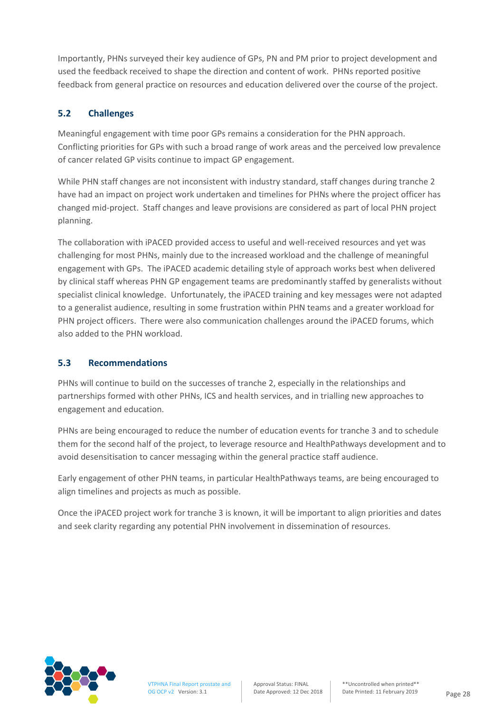Importantly, PHNs surveyed their key audience of GPs, PN and PM prior to project development and used the feedback received to shape the direction and content of work. PHNs reported positive feedback from general practice on resources and education delivered over the course of the project.

## **5.2 Challenges**

Meaningful engagement with time poor GPs remains a consideration for the PHN approach. Conflicting priorities for GPs with such a broad range of work areas and the perceived low prevalence of cancer related GP visits continue to impact GP engagement.

While PHN staff changes are not inconsistent with industry standard, staff changes during tranche 2 have had an impact on project work undertaken and timelines for PHNs where the project officer has changed mid-project. Staff changes and leave provisions are considered as part of local PHN project planning.

The collaboration with iPACED provided access to useful and well-received resources and yet was challenging for most PHNs, mainly due to the increased workload and the challenge of meaningful engagement with GPs. The iPACED academic detailing style of approach works best when delivered by clinical staff whereas PHN GP engagement teams are predominantly staffed by generalists without specialist clinical knowledge. Unfortunately, the iPACED training and key messages were not adapted to a generalist audience, resulting in some frustration within PHN teams and a greater workload for PHN project officers. There were also communication challenges around the iPACED forums, which also added to the PHN workload.

## **5.3 Recommendations**

PHNs will continue to build on the successes of tranche 2, especially in the relationships and partnerships formed with other PHNs, ICS and health services, and in trialling new approaches to engagement and education.

PHNs are being encouraged to reduce the number of education events for tranche 3 and to schedule them for the second half of the project, to leverage resource and HealthPathways development and to avoid desensitisation to cancer messaging within the general practice staff audience.

Early engagement of other PHN teams, in particular HealthPathways teams, are being encouraged to align timelines and projects as much as possible.

Once the iPACED project work for tranche 3 is known, it will be important to align priorities and dates and seek clarity regarding any potential PHN involvement in dissemination of resources.

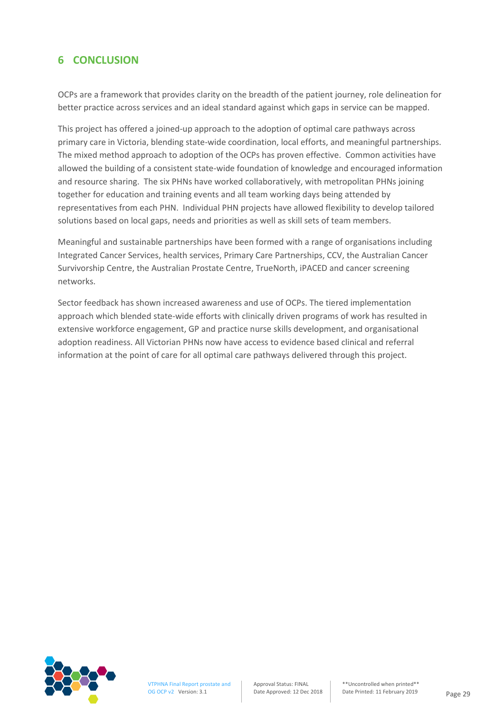## **6 CONCLUSION**

OCPs are a framework that provides clarity on the breadth of the patient journey, role delineation for better practice across services and an ideal standard against which gaps in service can be mapped.

This project has offered a joined-up approach to the adoption of optimal care pathways across primary care in Victoria, blending state-wide coordination, local efforts, and meaningful partnerships. The mixed method approach to adoption of the OCPs has proven effective. Common activities have allowed the building of a consistent state-wide foundation of knowledge and encouraged information and resource sharing. The six PHNs have worked collaboratively, with metropolitan PHNs joining together for education and training events and all team working days being attended by representatives from each PHN. Individual PHN projects have allowed flexibility to develop tailored solutions based on local gaps, needs and priorities as well as skill sets of team members.

Meaningful and sustainable partnerships have been formed with a range of organisations including Integrated Cancer Services, health services, Primary Care Partnerships, CCV, the Australian Cancer Survivorship Centre, the Australian Prostate Centre, TrueNorth, iPACED and cancer screening networks.

Sector feedback has shown increased awareness and use of OCPs. The tiered implementation approach which blended state-wide efforts with clinically driven programs of work has resulted in extensive workforce engagement, GP and practice nurse skills development, and organisational adoption readiness. All Victorian PHNs now have access to evidence based clinical and referral information at the point of care for all optimal care pathways delivered through this project.

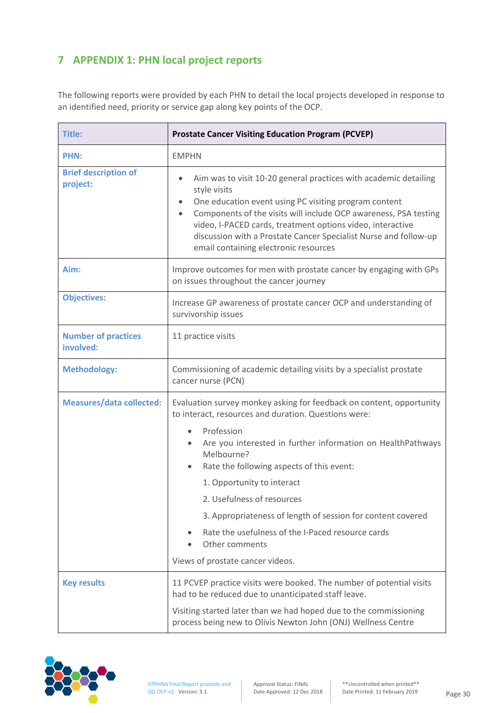## **7 APPENDIX 1: PHN local project reports**

The following reports were provided by each PHN to detail the local projects developed in response to an identified need, priority or service gap along key points of the OCP.

| <b>Title:</b>                           | <b>Prostate Cancer Visiting Education Program (PCVEP)</b>                                                                                                                                                                                                                                                                                                                                                          |  |
|-----------------------------------------|--------------------------------------------------------------------------------------------------------------------------------------------------------------------------------------------------------------------------------------------------------------------------------------------------------------------------------------------------------------------------------------------------------------------|--|
| <b>PHN:</b>                             | <b>EMPHN</b>                                                                                                                                                                                                                                                                                                                                                                                                       |  |
| <b>Brief description of</b><br>project: | Aim was to visit 10-20 general practices with academic detailing<br>$\bullet$<br>style visits<br>One education event using PC visiting program content<br>Components of the visits will include OCP awareness, PSA testing<br>$\bullet$<br>video, I-PACED cards, treatment options video, interactive<br>discussion with a Prostate Cancer Specialist Nurse and follow-up<br>email containing electronic resources |  |
| Aim:                                    | Improve outcomes for men with prostate cancer by engaging with GPs<br>on issues throughout the cancer journey                                                                                                                                                                                                                                                                                                      |  |
| <b>Objectives:</b>                      | Increase GP awareness of prostate cancer OCP and understanding of<br>survivorship issues                                                                                                                                                                                                                                                                                                                           |  |
| <b>Number of practices</b><br>involved: | 11 practice visits                                                                                                                                                                                                                                                                                                                                                                                                 |  |
| <b>Methodology:</b>                     | Commissioning of academic detailing visits by a specialist prostate<br>cancer nurse (PCN)                                                                                                                                                                                                                                                                                                                          |  |
| <b>Measures/data collected:</b>         | Evaluation survey monkey asking for feedback on content, opportunity<br>to interact, resources and duration. Questions were:                                                                                                                                                                                                                                                                                       |  |
|                                         | Profession<br>$\bullet$<br>Are you interested in further information on HealthPathways<br>$\bullet$<br>Melbourne?<br>Rate the following aspects of this event:<br>$\bullet$                                                                                                                                                                                                                                        |  |
|                                         | 1. Opportunity to interact                                                                                                                                                                                                                                                                                                                                                                                         |  |
|                                         | 2. Usefulness of resources                                                                                                                                                                                                                                                                                                                                                                                         |  |
|                                         | 3. Appropriateness of length of session for content covered<br>Rate the usefulness of the I-Paced resource cards<br>Other comments<br>Views of prostate cancer videos.                                                                                                                                                                                                                                             |  |
| <b>Key results</b>                      | 11 PCVEP practice visits were booked. The number of potential visits<br>had to be reduced due to unanticipated staff leave.<br>Visiting started later than we had hoped due to the commissioning<br>process being new to Olivis Newton John (ONJ) Wellness Centre                                                                                                                                                  |  |

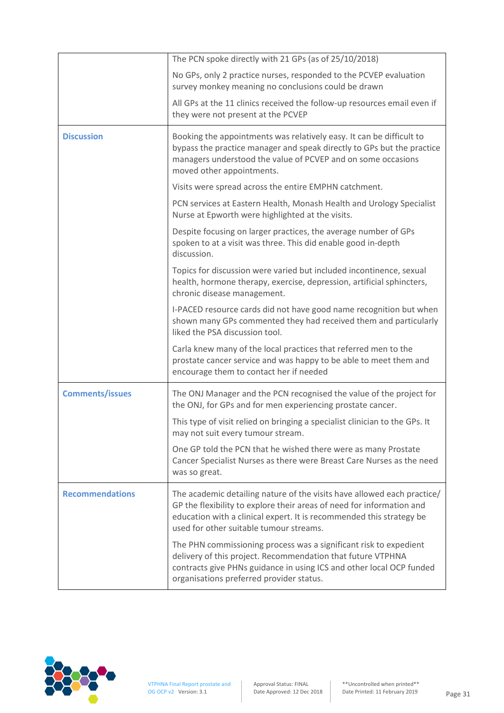|                        | The PCN spoke directly with 21 GPs (as of 25/10/2018)                                                                                                                                                                                                               |
|------------------------|---------------------------------------------------------------------------------------------------------------------------------------------------------------------------------------------------------------------------------------------------------------------|
|                        | No GPs, only 2 practice nurses, responded to the PCVEP evaluation<br>survey monkey meaning no conclusions could be drawn                                                                                                                                            |
|                        | All GPs at the 11 clinics received the follow-up resources email even if<br>they were not present at the PCVEP                                                                                                                                                      |
| <b>Discussion</b>      | Booking the appointments was relatively easy. It can be difficult to<br>bypass the practice manager and speak directly to GPs but the practice<br>managers understood the value of PCVEP and on some occasions<br>moved other appointments.                         |
|                        | Visits were spread across the entire EMPHN catchment.                                                                                                                                                                                                               |
|                        | PCN services at Eastern Health, Monash Health and Urology Specialist<br>Nurse at Epworth were highlighted at the visits.                                                                                                                                            |
|                        | Despite focusing on larger practices, the average number of GPs<br>spoken to at a visit was three. This did enable good in-depth<br>discussion.                                                                                                                     |
|                        | Topics for discussion were varied but included incontinence, sexual<br>health, hormone therapy, exercise, depression, artificial sphincters,<br>chronic disease management.                                                                                         |
|                        | I-PACED resource cards did not have good name recognition but when<br>shown many GPs commented they had received them and particularly<br>liked the PSA discussion tool.                                                                                            |
|                        | Carla knew many of the local practices that referred men to the<br>prostate cancer service and was happy to be able to meet them and<br>encourage them to contact her if needed                                                                                     |
| <b>Comments/issues</b> | The ONJ Manager and the PCN recognised the value of the project for<br>the ONJ, for GPs and for men experiencing prostate cancer.                                                                                                                                   |
|                        | This type of visit relied on bringing a specialist clinician to the GPs. It<br>may not suit every tumour stream.                                                                                                                                                    |
|                        | One GP told the PCN that he wished there were as many Prostate<br>Cancer Specialist Nurses as there were Breast Care Nurses as the need<br>was so great.                                                                                                            |
| <b>Recommendations</b> | The academic detailing nature of the visits have allowed each practice/<br>GP the flexibility to explore their areas of need for information and<br>education with a clinical expert. It is recommended this strategy be<br>used for other suitable tumour streams. |
|                        | The PHN commissioning process was a significant risk to expedient<br>delivery of this project. Recommendation that future VTPHNA<br>contracts give PHNs guidance in using ICS and other local OCP funded<br>organisations preferred provider status.                |

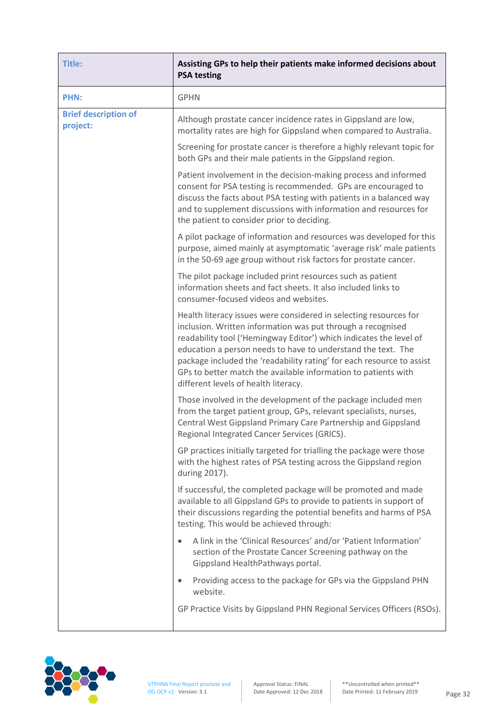| <b>Title:</b>                           | Assisting GPs to help their patients make informed decisions about<br><b>PSA testing</b>                                                                                                                                                                                                                                                                                                                                                                  |
|-----------------------------------------|-----------------------------------------------------------------------------------------------------------------------------------------------------------------------------------------------------------------------------------------------------------------------------------------------------------------------------------------------------------------------------------------------------------------------------------------------------------|
| <b>PHN:</b>                             | <b>GPHN</b>                                                                                                                                                                                                                                                                                                                                                                                                                                               |
| <b>Brief description of</b><br>project: | Although prostate cancer incidence rates in Gippsland are low,<br>mortality rates are high for Gippsland when compared to Australia.                                                                                                                                                                                                                                                                                                                      |
|                                         | Screening for prostate cancer is therefore a highly relevant topic for<br>both GPs and their male patients in the Gippsland region.                                                                                                                                                                                                                                                                                                                       |
|                                         | Patient involvement in the decision-making process and informed<br>consent for PSA testing is recommended. GPs are encouraged to<br>discuss the facts about PSA testing with patients in a balanced way<br>and to supplement discussions with information and resources for<br>the patient to consider prior to deciding.                                                                                                                                 |
|                                         | A pilot package of information and resources was developed for this<br>purpose, aimed mainly at asymptomatic 'average risk' male patients<br>in the 50-69 age group without risk factors for prostate cancer.                                                                                                                                                                                                                                             |
|                                         | The pilot package included print resources such as patient<br>information sheets and fact sheets. It also included links to<br>consumer-focused videos and websites.                                                                                                                                                                                                                                                                                      |
|                                         | Health literacy issues were considered in selecting resources for<br>inclusion. Written information was put through a recognised<br>readability tool ('Hemingway Editor') which indicates the level of<br>education a person needs to have to understand the text. The<br>package included the 'readability rating' for each resource to assist<br>GPs to better match the available information to patients with<br>different levels of health literacy. |
|                                         | Those involved in the development of the package included men<br>from the target patient group, GPs, relevant specialists, nurses,<br>Central West Gippsland Primary Care Partnership and Gippsland<br>Regional Integrated Cancer Services (GRICS).                                                                                                                                                                                                       |
|                                         | GP practices initially targeted for trialling the package were those<br>with the highest rates of PSA testing across the Gippsland region<br>during 2017).                                                                                                                                                                                                                                                                                                |
|                                         | If successful, the completed package will be promoted and made<br>available to all Gippsland GPs to provide to patients in support of<br>their discussions regarding the potential benefits and harms of PSA<br>testing. This would be achieved through:                                                                                                                                                                                                  |
|                                         | A link in the 'Clinical Resources' and/or 'Patient Information'<br>$\bullet$<br>section of the Prostate Cancer Screening pathway on the<br>Gippsland HealthPathways portal.                                                                                                                                                                                                                                                                               |
|                                         | Providing access to the package for GPs via the Gippsland PHN<br>۰<br>website.                                                                                                                                                                                                                                                                                                                                                                            |
|                                         | GP Practice Visits by Gippsland PHN Regional Services Officers (RSOs).                                                                                                                                                                                                                                                                                                                                                                                    |

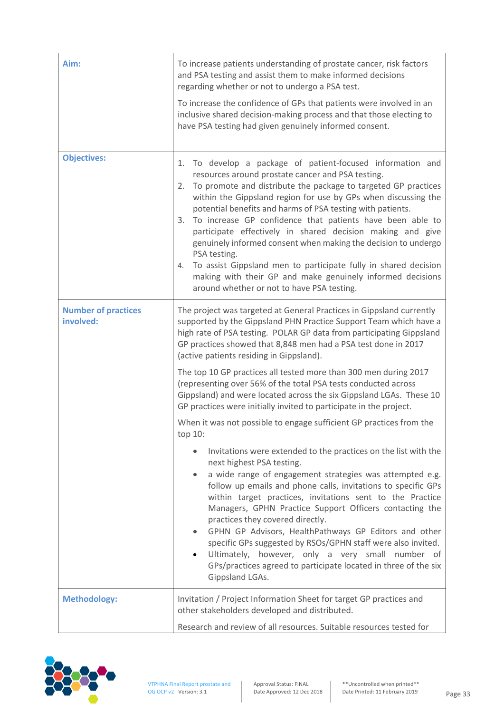| Aim:                                    | To increase patients understanding of prostate cancer, risk factors<br>and PSA testing and assist them to make informed decisions<br>regarding whether or not to undergo a PSA test.<br>To increase the confidence of GPs that patients were involved in an<br>inclusive shared decision-making process and that those electing to<br>have PSA testing had given genuinely informed consent.                                                                                                                                                                                                                                                                                                                                 |
|-----------------------------------------|------------------------------------------------------------------------------------------------------------------------------------------------------------------------------------------------------------------------------------------------------------------------------------------------------------------------------------------------------------------------------------------------------------------------------------------------------------------------------------------------------------------------------------------------------------------------------------------------------------------------------------------------------------------------------------------------------------------------------|
| <b>Objectives:</b>                      | 1. To develop a package of patient-focused information and<br>resources around prostate cancer and PSA testing.<br>To promote and distribute the package to targeted GP practices<br>2.<br>within the Gippsland region for use by GPs when discussing the<br>potential benefits and harms of PSA testing with patients.<br>3. To increase GP confidence that patients have been able to<br>participate effectively in shared decision making and give<br>genuinely informed consent when making the decision to undergo<br>PSA testing.<br>To assist Gippsland men to participate fully in shared decision<br>4.<br>making with their GP and make genuinely informed decisions<br>around whether or not to have PSA testing. |
| <b>Number of practices</b><br>involved: | The project was targeted at General Practices in Gippsland currently<br>supported by the Gippsland PHN Practice Support Team which have a<br>high rate of PSA testing. POLAR GP data from participating Gippsland<br>GP practices showed that 8,848 men had a PSA test done in 2017<br>(active patients residing in Gippsland).<br>The top 10 GP practices all tested more than 300 men during 2017                                                                                                                                                                                                                                                                                                                          |
|                                         | (representing over 56% of the total PSA tests conducted across<br>Gippsland) and were located across the six Gippsland LGAs. These 10<br>GP practices were initially invited to participate in the project.                                                                                                                                                                                                                                                                                                                                                                                                                                                                                                                  |
|                                         | When it was not possible to engage sufficient GP practices from the<br>top 10:                                                                                                                                                                                                                                                                                                                                                                                                                                                                                                                                                                                                                                               |
|                                         | Invitations were extended to the practices on the list with the<br>$\bullet$<br>next highest PSA testing.<br>a wide range of engagement strategies was attempted e.g.<br>٠<br>follow up emails and phone calls, invitations to specific GPs<br>within target practices, invitations sent to the Practice<br>Managers, GPHN Practice Support Officers contacting the<br>practices they covered directly.<br>GPHN GP Advisors, HealthPathways GP Editors and other<br>٠<br>specific GPs suggested by RSOs/GPHN staff were also invited.<br>Ultimately, however, only a very small number of<br>GPs/practices agreed to participate located in three of the six<br>Gippsland LGAs.                                              |
| <b>Methodology:</b>                     | Invitation / Project Information Sheet for target GP practices and<br>other stakeholders developed and distributed.<br>Research and review of all resources. Suitable resources tested for                                                                                                                                                                                                                                                                                                                                                                                                                                                                                                                                   |

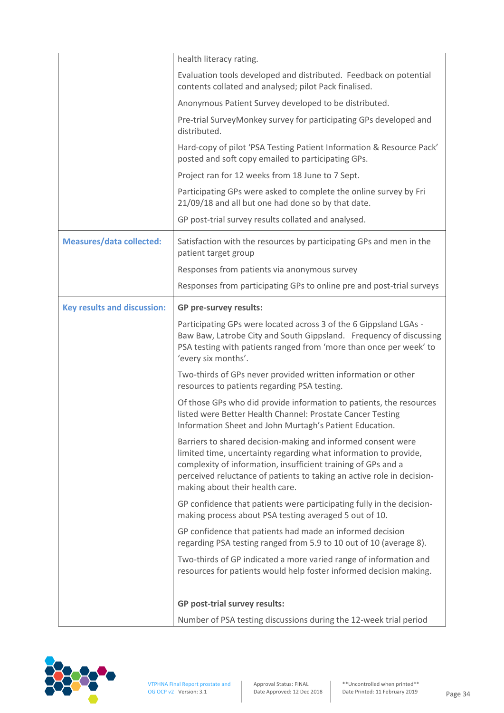|                                    | health literacy rating.                                                                                                                                                                                                                                                                                        |
|------------------------------------|----------------------------------------------------------------------------------------------------------------------------------------------------------------------------------------------------------------------------------------------------------------------------------------------------------------|
|                                    | Evaluation tools developed and distributed. Feedback on potential<br>contents collated and analysed; pilot Pack finalised.                                                                                                                                                                                     |
|                                    | Anonymous Patient Survey developed to be distributed.                                                                                                                                                                                                                                                          |
|                                    | Pre-trial SurveyMonkey survey for participating GPs developed and<br>distributed.                                                                                                                                                                                                                              |
|                                    | Hard-copy of pilot 'PSA Testing Patient Information & Resource Pack'<br>posted and soft copy emailed to participating GPs.                                                                                                                                                                                     |
|                                    | Project ran for 12 weeks from 18 June to 7 Sept.                                                                                                                                                                                                                                                               |
|                                    | Participating GPs were asked to complete the online survey by Fri<br>21/09/18 and all but one had done so by that date.                                                                                                                                                                                        |
|                                    | GP post-trial survey results collated and analysed.                                                                                                                                                                                                                                                            |
| <b>Measures/data collected:</b>    | Satisfaction with the resources by participating GPs and men in the<br>patient target group                                                                                                                                                                                                                    |
|                                    | Responses from patients via anonymous survey                                                                                                                                                                                                                                                                   |
|                                    | Responses from participating GPs to online pre and post-trial surveys                                                                                                                                                                                                                                          |
| <b>Key results and discussion:</b> | GP pre-survey results:                                                                                                                                                                                                                                                                                         |
|                                    | Participating GPs were located across 3 of the 6 Gippsland LGAs -<br>Baw Baw, Latrobe City and South Gippsland. Frequency of discussing<br>PSA testing with patients ranged from 'more than once per week' to<br>'every six months'.                                                                           |
|                                    | Two-thirds of GPs never provided written information or other<br>resources to patients regarding PSA testing.                                                                                                                                                                                                  |
|                                    | Of those GPs who did provide information to patients, the resources<br>listed were Better Health Channel: Prostate Cancer Testing<br>Information Sheet and John Murtagh's Patient Education.                                                                                                                   |
|                                    | Barriers to shared decision-making and informed consent were<br>limited time, uncertainty regarding what information to provide,<br>complexity of information, insufficient training of GPs and a<br>perceived reluctance of patients to taking an active role in decision-<br>making about their health care. |
|                                    | GP confidence that patients were participating fully in the decision-<br>making process about PSA testing averaged 5 out of 10.                                                                                                                                                                                |
|                                    | GP confidence that patients had made an informed decision<br>regarding PSA testing ranged from 5.9 to 10 out of 10 (average 8).                                                                                                                                                                                |
|                                    | Two-thirds of GP indicated a more varied range of information and<br>resources for patients would help foster informed decision making.                                                                                                                                                                        |
|                                    | <b>GP post-trial survey results:</b>                                                                                                                                                                                                                                                                           |
|                                    | Number of PSA testing discussions during the 12-week trial period                                                                                                                                                                                                                                              |

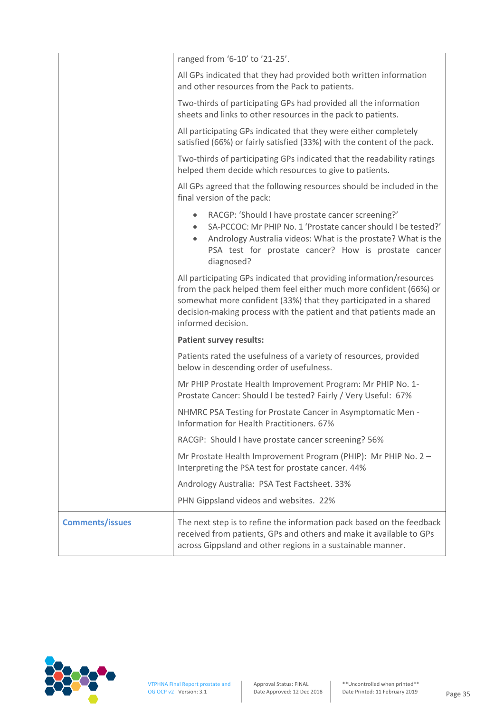|                        | ranged from '6-10' to '21-25'.                                                                                                                                                                                                                                                                             |
|------------------------|------------------------------------------------------------------------------------------------------------------------------------------------------------------------------------------------------------------------------------------------------------------------------------------------------------|
|                        | All GPs indicated that they had provided both written information<br>and other resources from the Pack to patients.                                                                                                                                                                                        |
|                        | Two-thirds of participating GPs had provided all the information<br>sheets and links to other resources in the pack to patients.                                                                                                                                                                           |
|                        | All participating GPs indicated that they were either completely<br>satisfied (66%) or fairly satisfied (33%) with the content of the pack.                                                                                                                                                                |
|                        | Two-thirds of participating GPs indicated that the readability ratings<br>helped them decide which resources to give to patients.                                                                                                                                                                          |
|                        | All GPs agreed that the following resources should be included in the<br>final version of the pack:                                                                                                                                                                                                        |
|                        | RACGP: 'Should I have prostate cancer screening?'<br>$\bullet$<br>SA-PCCOC: Mr PHIP No. 1 'Prostate cancer should I be tested?'<br>٠<br>Andrology Australia videos: What is the prostate? What is the<br>٠<br>PSA test for prostate cancer? How is prostate cancer<br>diagnosed?                           |
|                        | All participating GPs indicated that providing information/resources<br>from the pack helped them feel either much more confident (66%) or<br>somewhat more confident (33%) that they participated in a shared<br>decision-making process with the patient and that patients made an<br>informed decision. |
|                        | <b>Patient survey results:</b>                                                                                                                                                                                                                                                                             |
|                        | Patients rated the usefulness of a variety of resources, provided<br>below in descending order of usefulness.                                                                                                                                                                                              |
|                        | Mr PHIP Prostate Health Improvement Program: Mr PHIP No. 1-<br>Prostate Cancer: Should I be tested? Fairly / Very Useful: 67%                                                                                                                                                                              |
|                        | NHMRC PSA Testing for Prostate Cancer in Asymptomatic Men -<br>Information for Health Practitioners, 67%                                                                                                                                                                                                   |
|                        | RACGP: Should I have prostate cancer screening? 56%                                                                                                                                                                                                                                                        |
|                        | Mr Prostate Health Improvement Program (PHIP): Mr PHIP No. 2 -<br>Interpreting the PSA test for prostate cancer. 44%                                                                                                                                                                                       |
|                        | Andrology Australia: PSA Test Factsheet. 33%                                                                                                                                                                                                                                                               |
|                        | PHN Gippsland videos and websites. 22%                                                                                                                                                                                                                                                                     |
| <b>Comments/issues</b> | The next step is to refine the information pack based on the feedback<br>received from patients, GPs and others and make it available to GPs<br>across Gippsland and other regions in a sustainable manner.                                                                                                |

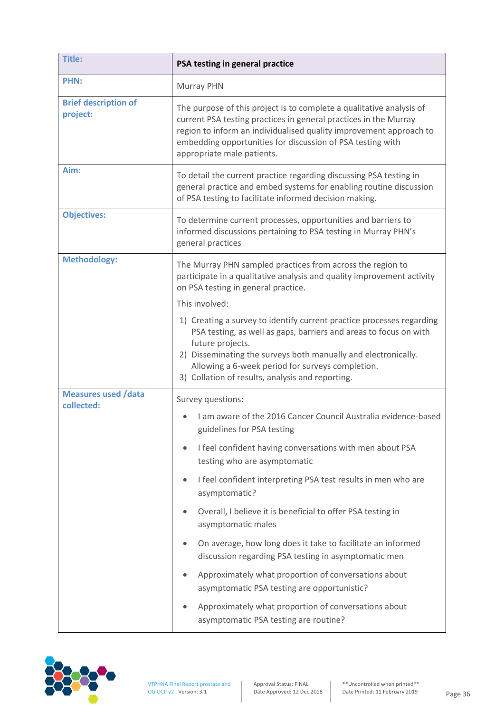| <b>Title:</b>                            | PSA testing in general practice                                                                                                                                                                                                                                                                                                          |  |
|------------------------------------------|------------------------------------------------------------------------------------------------------------------------------------------------------------------------------------------------------------------------------------------------------------------------------------------------------------------------------------------|--|
| <b>PHN:</b>                              | Murray PHN                                                                                                                                                                                                                                                                                                                               |  |
| <b>Brief description of</b><br>project:  | The purpose of this project is to complete a qualitative analysis of<br>current PSA testing practices in general practices in the Murray<br>region to inform an individualised quality improvement approach to<br>embedding opportunities for discussion of PSA testing with<br>appropriate male patients.                               |  |
| Aim:                                     | To detail the current practice regarding discussing PSA testing in<br>general practice and embed systems for enabling routine discussion<br>of PSA testing to facilitate informed decision making.                                                                                                                                       |  |
| <b>Objectives:</b>                       | To determine current processes, opportunities and barriers to<br>informed discussions pertaining to PSA testing in Murray PHN's<br>general practices                                                                                                                                                                                     |  |
| <b>Methodology:</b>                      | The Murray PHN sampled practices from across the region to<br>participate in a qualitative analysis and quality improvement activity<br>on PSA testing in general practice.                                                                                                                                                              |  |
|                                          | This involved:                                                                                                                                                                                                                                                                                                                           |  |
|                                          | 1) Creating a survey to identify current practice processes regarding<br>PSA testing, as well as gaps, barriers and areas to focus on with<br>future projects.<br>2) Disseminating the surveys both manually and electronically.<br>Allowing a 6-week period for surveys completion.<br>3) Collation of results, analysis and reporting. |  |
| <b>Measures used /data</b><br>collected: | Survey questions:                                                                                                                                                                                                                                                                                                                        |  |
|                                          | I am aware of the 2016 Cancer Council Australia evidence-based<br>guidelines for PSA testing                                                                                                                                                                                                                                             |  |
|                                          | I feel confident having conversations with men about PSA<br>testing who are asymptomatic                                                                                                                                                                                                                                                 |  |
|                                          | I feel confident interpreting PSA test results in men who are<br>$\bullet$<br>asymptomatic?                                                                                                                                                                                                                                              |  |
|                                          | Overall, I believe it is beneficial to offer PSA testing in<br>asymptomatic males                                                                                                                                                                                                                                                        |  |
|                                          | On average, how long does it take to facilitate an informed<br>discussion regarding PSA testing in asymptomatic men                                                                                                                                                                                                                      |  |
|                                          | Approximately what proportion of conversations about<br>asymptomatic PSA testing are opportunistic?                                                                                                                                                                                                                                      |  |
|                                          | Approximately what proportion of conversations about<br>asymptomatic PSA testing are routine?                                                                                                                                                                                                                                            |  |

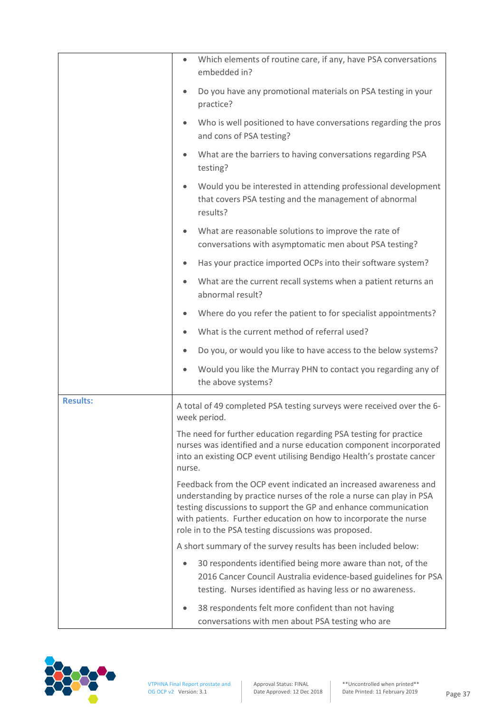|                 | Which elements of routine care, if any, have PSA conversations<br>$\bullet$<br>embedded in?                                                                                                                                                                                                                                             |
|-----------------|-----------------------------------------------------------------------------------------------------------------------------------------------------------------------------------------------------------------------------------------------------------------------------------------------------------------------------------------|
|                 | Do you have any promotional materials on PSA testing in your<br>$\bullet$<br>practice?                                                                                                                                                                                                                                                  |
|                 | Who is well positioned to have conversations regarding the pros<br>$\bullet$<br>and cons of PSA testing?                                                                                                                                                                                                                                |
|                 | What are the barriers to having conversations regarding PSA<br>$\bullet$<br>testing?                                                                                                                                                                                                                                                    |
|                 | Would you be interested in attending professional development<br>$\bullet$<br>that covers PSA testing and the management of abnormal<br>results?                                                                                                                                                                                        |
|                 | What are reasonable solutions to improve the rate of<br>$\bullet$<br>conversations with asymptomatic men about PSA testing?                                                                                                                                                                                                             |
|                 | Has your practice imported OCPs into their software system?<br>$\bullet$                                                                                                                                                                                                                                                                |
|                 | What are the current recall systems when a patient returns an<br>$\bullet$<br>abnormal result?                                                                                                                                                                                                                                          |
|                 | Where do you refer the patient to for specialist appointments?<br>$\bullet$                                                                                                                                                                                                                                                             |
|                 | What is the current method of referral used?<br>$\bullet$                                                                                                                                                                                                                                                                               |
|                 | Do you, or would you like to have access to the below systems?                                                                                                                                                                                                                                                                          |
|                 | Would you like the Murray PHN to contact you regarding any of<br>$\bullet$<br>the above systems?                                                                                                                                                                                                                                        |
| <b>Results:</b> | A total of 49 completed PSA testing surveys were received over the 6-<br>week period.                                                                                                                                                                                                                                                   |
|                 | The need for further education regarding PSA testing for practice<br>nurses was identified and a nurse education component incorporated<br>into an existing OCP event utilising Bendigo Health's prostate cancer<br>nurse.                                                                                                              |
|                 | Feedback from the OCP event indicated an increased awareness and<br>understanding by practice nurses of the role a nurse can play in PSA<br>testing discussions to support the GP and enhance communication<br>with patients. Further education on how to incorporate the nurse<br>role in to the PSA testing discussions was proposed. |
|                 | A short summary of the survey results has been included below:                                                                                                                                                                                                                                                                          |
|                 | 30 respondents identified being more aware than not, of the<br>2016 Cancer Council Australia evidence-based guidelines for PSA<br>testing. Nurses identified as having less or no awareness.                                                                                                                                            |
|                 | 38 respondents felt more confident than not having<br>conversations with men about PSA testing who are                                                                                                                                                                                                                                  |

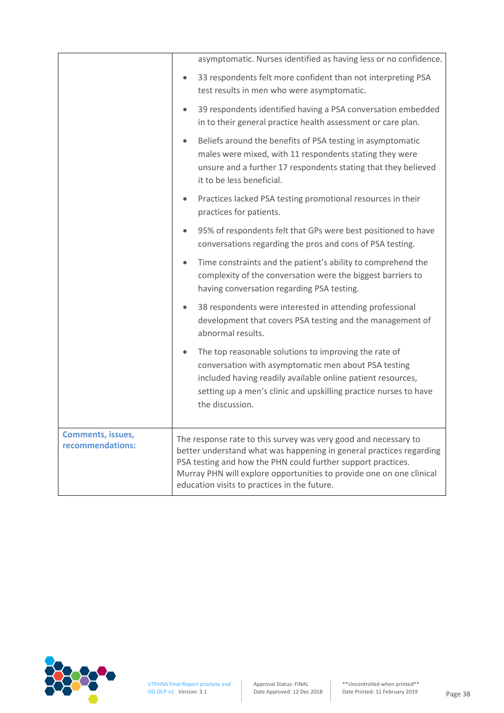|                                              | asymptomatic. Nurses identified as having less or no confidence.                                                                                                                                                                                                                                                               |
|----------------------------------------------|--------------------------------------------------------------------------------------------------------------------------------------------------------------------------------------------------------------------------------------------------------------------------------------------------------------------------------|
|                                              | 33 respondents felt more confident than not interpreting PSA<br>$\bullet$<br>test results in men who were asymptomatic.                                                                                                                                                                                                        |
|                                              | 39 respondents identified having a PSA conversation embedded<br>$\bullet$<br>in to their general practice health assessment or care plan.                                                                                                                                                                                      |
|                                              | Beliefs around the benefits of PSA testing in asymptomatic<br>$\bullet$<br>males were mixed, with 11 respondents stating they were<br>unsure and a further 17 respondents stating that they believed<br>it to be less beneficial.                                                                                              |
|                                              | Practices lacked PSA testing promotional resources in their<br>$\bullet$<br>practices for patients.                                                                                                                                                                                                                            |
|                                              | 95% of respondents felt that GPs were best positioned to have<br>$\bullet$<br>conversations regarding the pros and cons of PSA testing.                                                                                                                                                                                        |
|                                              | Time constraints and the patient's ability to comprehend the<br>$\bullet$<br>complexity of the conversation were the biggest barriers to<br>having conversation regarding PSA testing.                                                                                                                                         |
|                                              | 38 respondents were interested in attending professional<br>$\bullet$<br>development that covers PSA testing and the management of<br>abnormal results.                                                                                                                                                                        |
|                                              | The top reasonable solutions to improving the rate of<br>$\bullet$<br>conversation with asymptomatic men about PSA testing<br>included having readily available online patient resources,<br>setting up a men's clinic and upskilling practice nurses to have<br>the discussion.                                               |
| <b>Comments, issues,</b><br>recommendations: | The response rate to this survey was very good and necessary to<br>better understand what was happening in general practices regarding<br>PSA testing and how the PHN could further support practices.<br>Murray PHN will explore opportunities to provide one on one clinical<br>education visits to practices in the future. |
|                                              |                                                                                                                                                                                                                                                                                                                                |

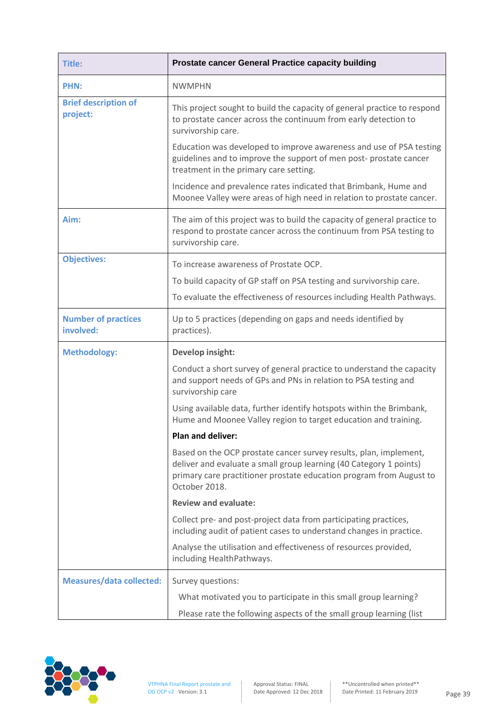| <b>Title:</b>                           | Prostate cancer General Practice capacity building                                                                                                                                                                              |
|-----------------------------------------|---------------------------------------------------------------------------------------------------------------------------------------------------------------------------------------------------------------------------------|
| <b>PHN:</b>                             | <b>NWMPHN</b>                                                                                                                                                                                                                   |
| <b>Brief description of</b><br>project: | This project sought to build the capacity of general practice to respond<br>to prostate cancer across the continuum from early detection to<br>survivorship care.                                                               |
|                                         | Education was developed to improve awareness and use of PSA testing<br>guidelines and to improve the support of men post- prostate cancer<br>treatment in the primary care setting.                                             |
|                                         | Incidence and prevalence rates indicated that Brimbank, Hume and<br>Moonee Valley were areas of high need in relation to prostate cancer.                                                                                       |
| Aim:                                    | The aim of this project was to build the capacity of general practice to<br>respond to prostate cancer across the continuum from PSA testing to<br>survivorship care.                                                           |
| <b>Objectives:</b>                      | To increase awareness of Prostate OCP.                                                                                                                                                                                          |
|                                         | To build capacity of GP staff on PSA testing and survivorship care.                                                                                                                                                             |
|                                         | To evaluate the effectiveness of resources including Health Pathways.                                                                                                                                                           |
| <b>Number of practices</b><br>involved: | Up to 5 practices (depending on gaps and needs identified by<br>practices).                                                                                                                                                     |
| <b>Methodology:</b>                     | Develop insight:                                                                                                                                                                                                                |
|                                         | Conduct a short survey of general practice to understand the capacity<br>and support needs of GPs and PNs in relation to PSA testing and<br>survivorship care                                                                   |
|                                         | Using available data, further identify hotspots within the Brimbank,<br>Hume and Moonee Valley region to target education and training.                                                                                         |
|                                         | Plan and deliver:                                                                                                                                                                                                               |
|                                         | Based on the OCP prostate cancer survey results, plan, implement,<br>deliver and evaluate a small group learning (40 Category 1 points)<br>primary care practitioner prostate education program from August to<br>October 2018. |
|                                         | <b>Review and evaluate:</b>                                                                                                                                                                                                     |
|                                         | Collect pre- and post-project data from participating practices,<br>including audit of patient cases to understand changes in practice.                                                                                         |
|                                         | Analyse the utilisation and effectiveness of resources provided,<br>including HealthPathways.                                                                                                                                   |
| <b>Measures/data collected:</b>         | Survey questions:                                                                                                                                                                                                               |
|                                         | What motivated you to participate in this small group learning?<br>Please rate the following aspects of the small group learning (list                                                                                          |

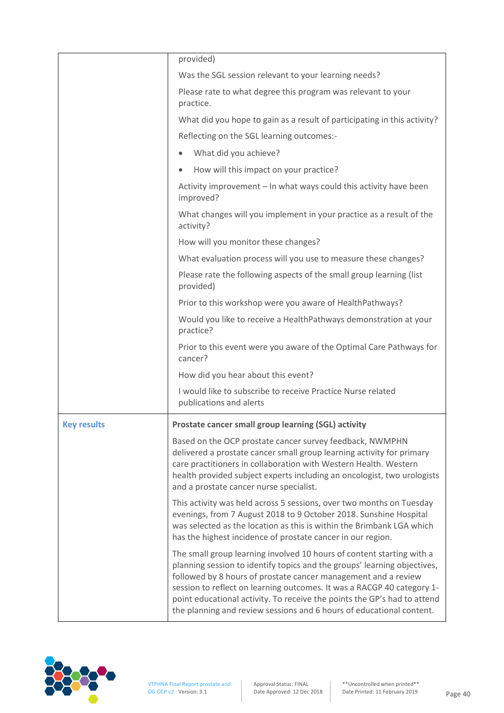|                    | provided)                                                                                                                                                                                                                                                                                                                                                                                                                                         |
|--------------------|---------------------------------------------------------------------------------------------------------------------------------------------------------------------------------------------------------------------------------------------------------------------------------------------------------------------------------------------------------------------------------------------------------------------------------------------------|
|                    | Was the SGL session relevant to your learning needs?                                                                                                                                                                                                                                                                                                                                                                                              |
|                    | Please rate to what degree this program was relevant to your<br>practice.                                                                                                                                                                                                                                                                                                                                                                         |
|                    | What did you hope to gain as a result of participating in this activity?                                                                                                                                                                                                                                                                                                                                                                          |
|                    | Reflecting on the SGL learning outcomes:-                                                                                                                                                                                                                                                                                                                                                                                                         |
|                    | What did you achieve?<br>$\bullet$                                                                                                                                                                                                                                                                                                                                                                                                                |
|                    | How will this impact on your practice?<br>$\bullet$                                                                                                                                                                                                                                                                                                                                                                                               |
|                    | Activity improvement - In what ways could this activity have been<br>improved?                                                                                                                                                                                                                                                                                                                                                                    |
|                    | What changes will you implement in your practice as a result of the<br>activity?                                                                                                                                                                                                                                                                                                                                                                  |
|                    | How will you monitor these changes?                                                                                                                                                                                                                                                                                                                                                                                                               |
|                    | What evaluation process will you use to measure these changes?                                                                                                                                                                                                                                                                                                                                                                                    |
|                    | Please rate the following aspects of the small group learning (list<br>provided)                                                                                                                                                                                                                                                                                                                                                                  |
|                    | Prior to this workshop were you aware of HealthPathways?                                                                                                                                                                                                                                                                                                                                                                                          |
|                    | Would you like to receive a HealthPathways demonstration at your<br>practice?                                                                                                                                                                                                                                                                                                                                                                     |
|                    | Prior to this event were you aware of the Optimal Care Pathways for<br>cancer?                                                                                                                                                                                                                                                                                                                                                                    |
|                    | How did you hear about this event?                                                                                                                                                                                                                                                                                                                                                                                                                |
|                    | I would like to subscribe to receive Practice Nurse related<br>publications and alerts                                                                                                                                                                                                                                                                                                                                                            |
| <b>Key results</b> | Prostate cancer small group learning (SGL) activity                                                                                                                                                                                                                                                                                                                                                                                               |
|                    | Based on the OCP prostate cancer survey feedback, NWMPHN<br>delivered a prostate cancer small group learning activity for primary<br>care practitioners in collaboration with Western Health. Western<br>health provided subject experts including an oncologist, two urologists<br>and a prostate cancer nurse specialist.                                                                                                                       |
|                    | This activity was held across 5 sessions, over two months on Tuesday<br>evenings, from 7 August 2018 to 9 October 2018. Sunshine Hospital<br>was selected as the location as this is within the Brimbank LGA which<br>has the highest incidence of prostate cancer in our region.                                                                                                                                                                 |
|                    | The small group learning involved 10 hours of content starting with a<br>planning session to identify topics and the groups' learning objectives,<br>followed by 8 hours of prostate cancer management and a review<br>session to reflect on learning outcomes. It was a RACGP 40 category 1-<br>point educational activity. To receive the points the GP's had to attend<br>the planning and review sessions and 6 hours of educational content. |

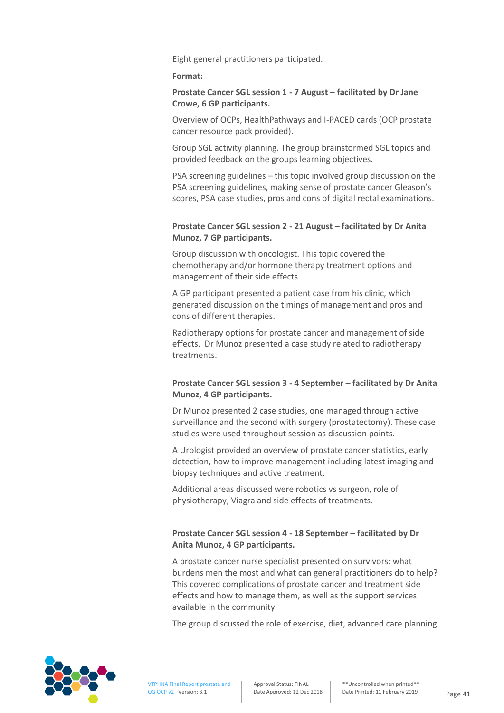| Eight general practitioners participated.                                                                                                                                                                                                                                                                    |
|--------------------------------------------------------------------------------------------------------------------------------------------------------------------------------------------------------------------------------------------------------------------------------------------------------------|
| Format:                                                                                                                                                                                                                                                                                                      |
| Prostate Cancer SGL session 1 - 7 August - facilitated by Dr Jane<br>Crowe, 6 GP participants.                                                                                                                                                                                                               |
| Overview of OCPs, HealthPathways and I-PACED cards (OCP prostate<br>cancer resource pack provided).                                                                                                                                                                                                          |
| Group SGL activity planning. The group brainstormed SGL topics and<br>provided feedback on the groups learning objectives.                                                                                                                                                                                   |
| PSA screening guidelines - this topic involved group discussion on the<br>PSA screening guidelines, making sense of prostate cancer Gleason's<br>scores, PSA case studies, pros and cons of digital rectal examinations.                                                                                     |
| Prostate Cancer SGL session 2 - 21 August - facilitated by Dr Anita<br>Munoz, 7 GP participants.                                                                                                                                                                                                             |
| Group discussion with oncologist. This topic covered the<br>chemotherapy and/or hormone therapy treatment options and<br>management of their side effects.                                                                                                                                                   |
| A GP participant presented a patient case from his clinic, which<br>generated discussion on the timings of management and pros and<br>cons of different therapies.                                                                                                                                           |
| Radiotherapy options for prostate cancer and management of side<br>effects. Dr Munoz presented a case study related to radiotherapy<br>treatments.                                                                                                                                                           |
| Prostate Cancer SGL session 3 - 4 September - facilitated by Dr Anita<br>Munoz, 4 GP participants.                                                                                                                                                                                                           |
| Dr Munoz presented 2 case studies, one managed through active<br>surveillance and the second with surgery (prostatectomy). These case<br>studies were used throughout session as discussion points.                                                                                                          |
| A Urologist provided an overview of prostate cancer statistics, early<br>detection, how to improve management including latest imaging and<br>biopsy techniques and active treatment.                                                                                                                        |
| Additional areas discussed were robotics vs surgeon, role of<br>physiotherapy, Viagra and side effects of treatments.                                                                                                                                                                                        |
| Prostate Cancer SGL session 4 - 18 September - facilitated by Dr<br>Anita Munoz, 4 GP participants.                                                                                                                                                                                                          |
| A prostate cancer nurse specialist presented on survivors: what<br>burdens men the most and what can general practitioners do to help?<br>This covered complications of prostate cancer and treatment side<br>effects and how to manage them, as well as the support services<br>available in the community. |
| The group discussed the role of exercise, diet, advanced care planning                                                                                                                                                                                                                                       |

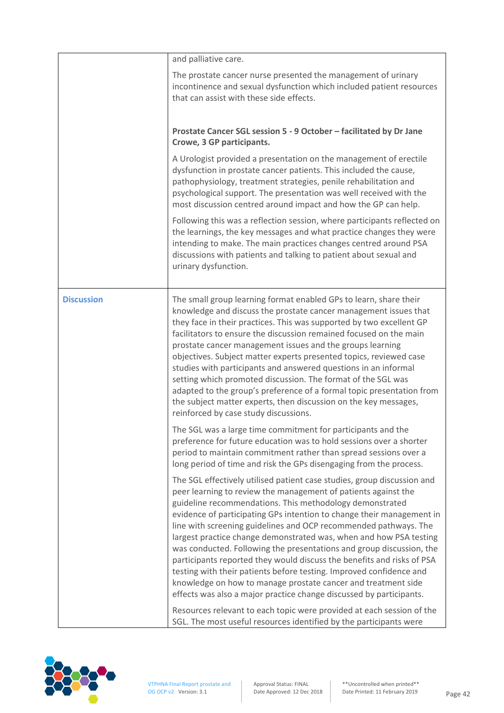|                   | and palliative care.                                                                                                                                                                                                                                                                                                                                                                                                                                                                                                                                                                                                                                                                                                                                                                      |
|-------------------|-------------------------------------------------------------------------------------------------------------------------------------------------------------------------------------------------------------------------------------------------------------------------------------------------------------------------------------------------------------------------------------------------------------------------------------------------------------------------------------------------------------------------------------------------------------------------------------------------------------------------------------------------------------------------------------------------------------------------------------------------------------------------------------------|
|                   | The prostate cancer nurse presented the management of urinary<br>incontinence and sexual dysfunction which included patient resources<br>that can assist with these side effects.                                                                                                                                                                                                                                                                                                                                                                                                                                                                                                                                                                                                         |
|                   | Prostate Cancer SGL session 5 - 9 October - facilitated by Dr Jane<br>Crowe, 3 GP participants.                                                                                                                                                                                                                                                                                                                                                                                                                                                                                                                                                                                                                                                                                           |
|                   | A Urologist provided a presentation on the management of erectile<br>dysfunction in prostate cancer patients. This included the cause,<br>pathophysiology, treatment strategies, penile rehabilitation and<br>psychological support. The presentation was well received with the<br>most discussion centred around impact and how the GP can help.                                                                                                                                                                                                                                                                                                                                                                                                                                        |
|                   | Following this was a reflection session, where participants reflected on<br>the learnings, the key messages and what practice changes they were<br>intending to make. The main practices changes centred around PSA<br>discussions with patients and talking to patient about sexual and<br>urinary dysfunction.                                                                                                                                                                                                                                                                                                                                                                                                                                                                          |
| <b>Discussion</b> | The small group learning format enabled GPs to learn, share their<br>knowledge and discuss the prostate cancer management issues that<br>they face in their practices. This was supported by two excellent GP<br>facilitators to ensure the discussion remained focused on the main<br>prostate cancer management issues and the groups learning<br>objectives. Subject matter experts presented topics, reviewed case<br>studies with participants and answered questions in an informal<br>setting which promoted discussion. The format of the SGL was<br>adapted to the group's preference of a formal topic presentation from<br>the subject matter experts, then discussion on the key messages,<br>reinforced by case study discussions.                                           |
|                   | The SGL was a large time commitment for participants and the<br>preference for future education was to hold sessions over a shorter<br>period to maintain commitment rather than spread sessions over a<br>long period of time and risk the GPs disengaging from the process.                                                                                                                                                                                                                                                                                                                                                                                                                                                                                                             |
|                   | The SGL effectively utilised patient case studies, group discussion and<br>peer learning to review the management of patients against the<br>guideline recommendations. This methodology demonstrated<br>evidence of participating GPs intention to change their management in<br>line with screening guidelines and OCP recommended pathways. The<br>largest practice change demonstrated was, when and how PSA testing<br>was conducted. Following the presentations and group discussion, the<br>participants reported they would discuss the benefits and risks of PSA<br>testing with their patients before testing. Improved confidence and<br>knowledge on how to manage prostate cancer and treatment side<br>effects was also a major practice change discussed by participants. |
|                   | Resources relevant to each topic were provided at each session of the<br>SGL. The most useful resources identified by the participants were                                                                                                                                                                                                                                                                                                                                                                                                                                                                                                                                                                                                                                               |

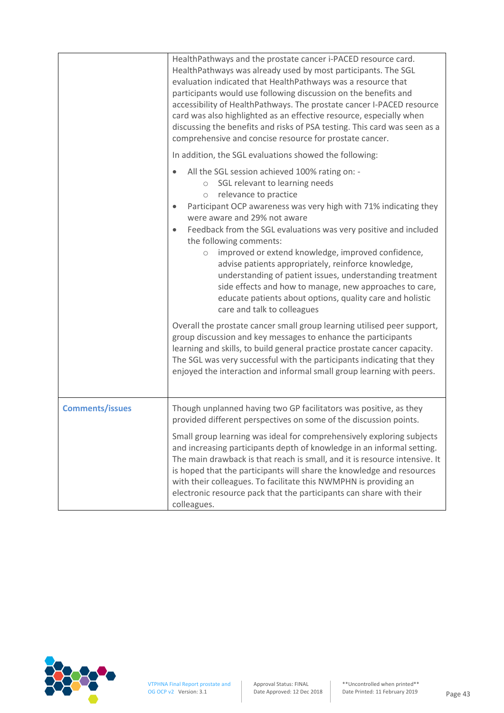|                        | HealthPathways and the prostate cancer i-PACED resource card.<br>HealthPathways was already used by most participants. The SGL<br>evaluation indicated that HealthPathways was a resource that<br>participants would use following discussion on the benefits and<br>accessibility of HealthPathways. The prostate cancer I-PACED resource<br>card was also highlighted as an effective resource, especially when<br>discussing the benefits and risks of PSA testing. This card was seen as a<br>comprehensive and concise resource for prostate cancer.                                                                                                                                                  |
|------------------------|------------------------------------------------------------------------------------------------------------------------------------------------------------------------------------------------------------------------------------------------------------------------------------------------------------------------------------------------------------------------------------------------------------------------------------------------------------------------------------------------------------------------------------------------------------------------------------------------------------------------------------------------------------------------------------------------------------|
|                        | In addition, the SGL evaluations showed the following:                                                                                                                                                                                                                                                                                                                                                                                                                                                                                                                                                                                                                                                     |
|                        | All the SGL session achieved 100% rating on: -<br>SGL relevant to learning needs<br>$\circ$<br>relevance to practice<br>$\bigcirc$<br>Participant OCP awareness was very high with 71% indicating they<br>$\bullet$<br>were aware and 29% not aware<br>Feedback from the SGL evaluations was very positive and included<br>$\bullet$<br>the following comments:<br>improved or extend knowledge, improved confidence,<br>$\circ$<br>advise patients appropriately, reinforce knowledge,<br>understanding of patient issues, understanding treatment<br>side effects and how to manage, new approaches to care,<br>educate patients about options, quality care and holistic<br>care and talk to colleagues |
|                        | Overall the prostate cancer small group learning utilised peer support,<br>group discussion and key messages to enhance the participants<br>learning and skills, to build general practice prostate cancer capacity.<br>The SGL was very successful with the participants indicating that they<br>enjoyed the interaction and informal small group learning with peers.                                                                                                                                                                                                                                                                                                                                    |
| <b>Comments/issues</b> | Though unplanned having two GP facilitators was positive, as they<br>provided different perspectives on some of the discussion points.                                                                                                                                                                                                                                                                                                                                                                                                                                                                                                                                                                     |
|                        | Small group learning was ideal for comprehensively exploring subjects<br>and increasing participants depth of knowledge in an informal setting.<br>The main drawback is that reach is small, and it is resource intensive. It<br>is hoped that the participants will share the knowledge and resources<br>with their colleagues. To facilitate this NWMPHN is providing an<br>electronic resource pack that the participants can share with their<br>colleagues.                                                                                                                                                                                                                                           |

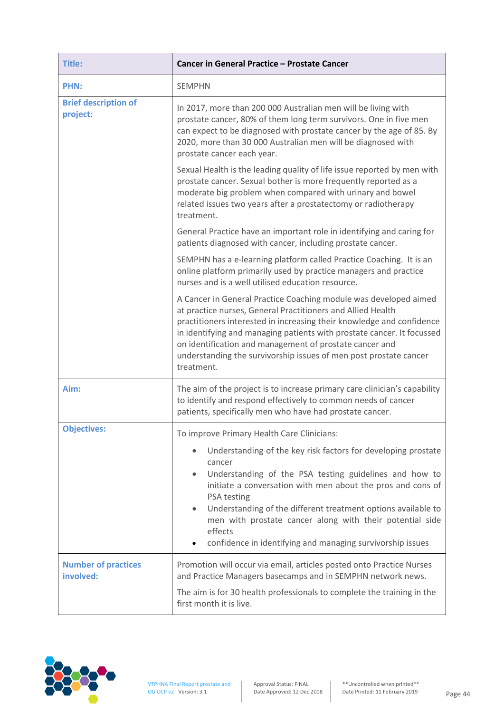| Title:                                  | Cancer in General Practice - Prostate Cancer                                                                                                                                                                                                                                                                                                                                                                                                    |
|-----------------------------------------|-------------------------------------------------------------------------------------------------------------------------------------------------------------------------------------------------------------------------------------------------------------------------------------------------------------------------------------------------------------------------------------------------------------------------------------------------|
| <b>PHN:</b>                             | <b>SEMPHN</b>                                                                                                                                                                                                                                                                                                                                                                                                                                   |
| <b>Brief description of</b><br>project: | In 2017, more than 200 000 Australian men will be living with<br>prostate cancer, 80% of them long term survivors. One in five men<br>can expect to be diagnosed with prostate cancer by the age of 85. By<br>2020, more than 30 000 Australian men will be diagnosed with<br>prostate cancer each year.                                                                                                                                        |
|                                         | Sexual Health is the leading quality of life issue reported by men with<br>prostate cancer. Sexual bother is more frequently reported as a<br>moderate big problem when compared with urinary and bowel<br>related issues two years after a prostatectomy or radiotherapy<br>treatment.                                                                                                                                                         |
|                                         | General Practice have an important role in identifying and caring for<br>patients diagnosed with cancer, including prostate cancer.                                                                                                                                                                                                                                                                                                             |
|                                         | SEMPHN has a e-learning platform called Practice Coaching. It is an<br>online platform primarily used by practice managers and practice<br>nurses and is a well utilised education resource.                                                                                                                                                                                                                                                    |
|                                         | A Cancer in General Practice Coaching module was developed aimed<br>at practice nurses, General Practitioners and Allied Health<br>practitioners interested in increasing their knowledge and confidence<br>in identifying and managing patients with prostate cancer. It focussed<br>on identification and management of prostate cancer and<br>understanding the survivorship issues of men post prostate cancer<br>treatment.                |
| Aim:                                    | The aim of the project is to increase primary care clinician's capability<br>to identify and respond effectively to common needs of cancer<br>patients, specifically men who have had prostate cancer.                                                                                                                                                                                                                                          |
| <b>Objectives:</b>                      | To improve Primary Health Care Clinicians:                                                                                                                                                                                                                                                                                                                                                                                                      |
|                                         | Understanding of the key risk factors for developing prostate<br>cancer<br>Understanding of the PSA testing guidelines and how to<br>$\bullet$<br>initiate a conversation with men about the pros and cons of<br>PSA testing<br>Understanding of the different treatment options available to<br>$\bullet$<br>men with prostate cancer along with their potential side<br>effects<br>confidence in identifying and managing survivorship issues |
| <b>Number of practices</b><br>involved: | Promotion will occur via email, articles posted onto Practice Nurses<br>and Practice Managers basecamps and in SEMPHN network news.                                                                                                                                                                                                                                                                                                             |
|                                         | The aim is for 30 health professionals to complete the training in the<br>first month it is live.                                                                                                                                                                                                                                                                                                                                               |

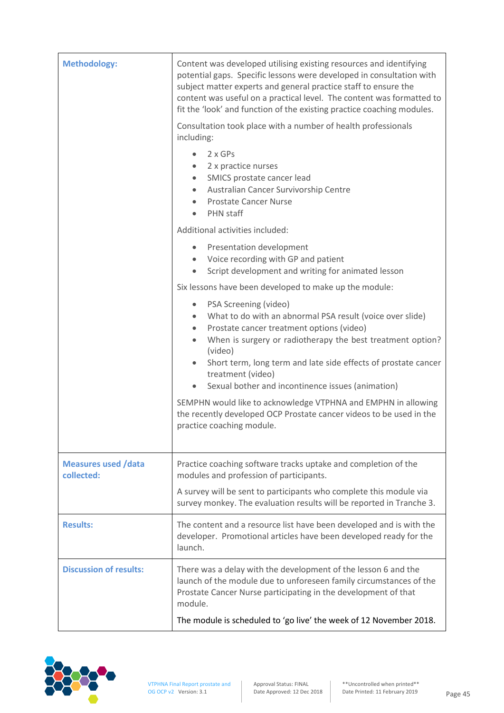| <b>Methodology:</b>                      | Content was developed utilising existing resources and identifying<br>potential gaps. Specific lessons were developed in consultation with<br>subject matter experts and general practice staff to ensure the<br>content was useful on a practical level. The content was formatted to<br>fit the 'look' and function of the existing practice coaching modules.<br>Consultation took place with a number of health professionals |
|------------------------------------------|-----------------------------------------------------------------------------------------------------------------------------------------------------------------------------------------------------------------------------------------------------------------------------------------------------------------------------------------------------------------------------------------------------------------------------------|
|                                          | including:                                                                                                                                                                                                                                                                                                                                                                                                                        |
|                                          | 2 x GPs<br>$\bullet$<br>2 x practice nurses<br>۰<br>SMICS prostate cancer lead<br>$\bullet$<br>Australian Cancer Survivorship Centre<br>٠<br><b>Prostate Cancer Nurse</b><br>$\bullet$<br><b>PHN</b> staff<br>$\bullet$                                                                                                                                                                                                           |
|                                          | Additional activities included:                                                                                                                                                                                                                                                                                                                                                                                                   |
|                                          | Presentation development<br>٠<br>Voice recording with GP and patient<br>$\bullet$<br>Script development and writing for animated lesson<br>$\bullet$                                                                                                                                                                                                                                                                              |
|                                          | Six lessons have been developed to make up the module:                                                                                                                                                                                                                                                                                                                                                                            |
|                                          | PSA Screening (video)<br>٠<br>What to do with an abnormal PSA result (voice over slide)<br>$\bullet$<br>Prostate cancer treatment options (video)<br>$\bullet$<br>When is surgery or radiotherapy the best treatment option?<br>$\bullet$<br>(video)<br>Short term, long term and late side effects of prostate cancer<br>$\bullet$<br>treatment (video)<br>Sexual bother and incontinence issues (animation)<br>$\bullet$        |
|                                          | SEMPHN would like to acknowledge VTPHNA and EMPHN in allowing<br>the recently developed OCP Prostate cancer videos to be used in the<br>practice coaching module.                                                                                                                                                                                                                                                                 |
| <b>Measures used /data</b><br>collected: | Practice coaching software tracks uptake and completion of the<br>modules and profession of participants.                                                                                                                                                                                                                                                                                                                         |
|                                          | A survey will be sent to participants who complete this module via<br>survey monkey. The evaluation results will be reported in Tranche 3.                                                                                                                                                                                                                                                                                        |
| <b>Results:</b>                          | The content and a resource list have been developed and is with the<br>developer. Promotional articles have been developed ready for the<br>launch.                                                                                                                                                                                                                                                                               |
| <b>Discussion of results:</b>            | There was a delay with the development of the lesson 6 and the<br>launch of the module due to unforeseen family circumstances of the<br>Prostate Cancer Nurse participating in the development of that<br>module.                                                                                                                                                                                                                 |
|                                          | The module is scheduled to 'go live' the week of 12 November 2018.                                                                                                                                                                                                                                                                                                                                                                |

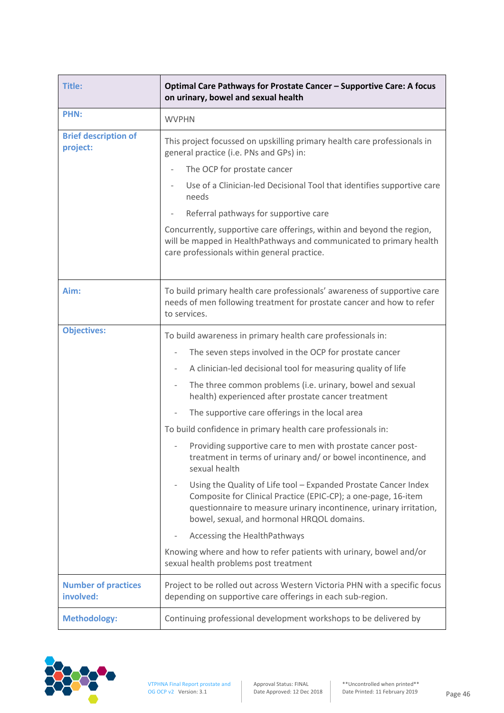| <b>Title:</b>                           | Optimal Care Pathways for Prostate Cancer - Supportive Care: A focus<br>on urinary, bowel and sexual health                                                                                                                                           |
|-----------------------------------------|-------------------------------------------------------------------------------------------------------------------------------------------------------------------------------------------------------------------------------------------------------|
| PHN:                                    | <b>WVPHN</b>                                                                                                                                                                                                                                          |
| <b>Brief description of</b><br>project: | This project focussed on upskilling primary health care professionals in<br>general practice (i.e. PNs and GPs) in:                                                                                                                                   |
|                                         | The OCP for prostate cancer                                                                                                                                                                                                                           |
|                                         | Use of a Clinician-led Decisional Tool that identifies supportive care<br>needs                                                                                                                                                                       |
|                                         | Referral pathways for supportive care                                                                                                                                                                                                                 |
|                                         | Concurrently, supportive care offerings, within and beyond the region,<br>will be mapped in HealthPathways and communicated to primary health<br>care professionals within general practice.                                                          |
| Aim:                                    | To build primary health care professionals' awareness of supportive care<br>needs of men following treatment for prostate cancer and how to refer<br>to services.                                                                                     |
| <b>Objectives:</b>                      | To build awareness in primary health care professionals in:                                                                                                                                                                                           |
|                                         | The seven steps involved in the OCP for prostate cancer                                                                                                                                                                                               |
|                                         | A clinician-led decisional tool for measuring quality of life                                                                                                                                                                                         |
|                                         | The three common problems (i.e. urinary, bowel and sexual<br>$\qquad \qquad -$<br>health) experienced after prostate cancer treatment                                                                                                                 |
|                                         | The supportive care offerings in the local area                                                                                                                                                                                                       |
|                                         | To build confidence in primary health care professionals in:                                                                                                                                                                                          |
|                                         | Providing supportive care to men with prostate cancer post-<br>treatment in terms of urinary and/ or bowel incontinence, and<br>sexual health                                                                                                         |
|                                         | Using the Quality of Life tool - Expanded Prostate Cancer Index<br>Composite for Clinical Practice (EPIC-CP); a one-page, 16-item<br>questionnaire to measure urinary incontinence, urinary irritation,<br>bowel, sexual, and hormonal HRQOL domains. |
|                                         | Accessing the HealthPathways                                                                                                                                                                                                                          |
|                                         | Knowing where and how to refer patients with urinary, bowel and/or<br>sexual health problems post treatment                                                                                                                                           |
| <b>Number of practices</b><br>involved: | Project to be rolled out across Western Victoria PHN with a specific focus<br>depending on supportive care offerings in each sub-region.                                                                                                              |
| <b>Methodology:</b>                     | Continuing professional development workshops to be delivered by                                                                                                                                                                                      |

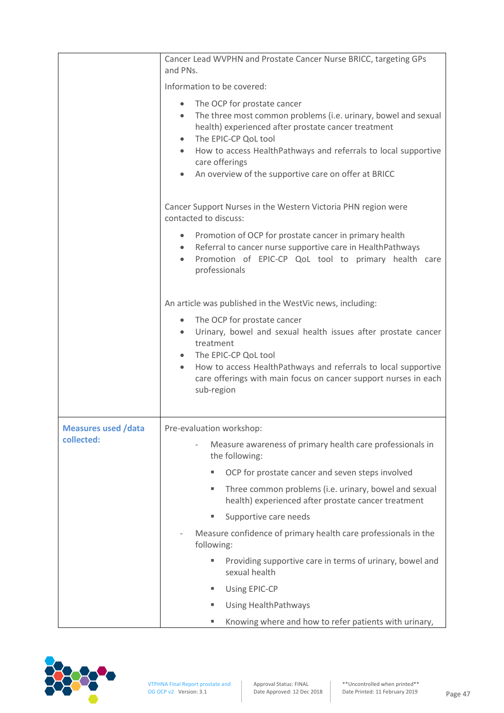|                            | Cancer Lead WVPHN and Prostate Cancer Nurse BRICC, targeting GPs<br>and PNs.                                                                                                                                                                                                                                                                                    |
|----------------------------|-----------------------------------------------------------------------------------------------------------------------------------------------------------------------------------------------------------------------------------------------------------------------------------------------------------------------------------------------------------------|
|                            | Information to be covered:                                                                                                                                                                                                                                                                                                                                      |
|                            | The OCP for prostate cancer<br>$\bullet$<br>The three most common problems (i.e. urinary, bowel and sexual<br>health) experienced after prostate cancer treatment<br>The EPIC-CP QoL tool<br>$\bullet$<br>How to access HealthPathways and referrals to local supportive<br>$\bullet$<br>care offerings<br>An overview of the supportive care on offer at BRICC |
|                            | Cancer Support Nurses in the Western Victoria PHN region were<br>contacted to discuss:                                                                                                                                                                                                                                                                          |
|                            | Promotion of OCP for prostate cancer in primary health<br>$\bullet$<br>Referral to cancer nurse supportive care in HealthPathways<br>Promotion of EPIC-CP QoL tool to primary health care<br>professionals                                                                                                                                                      |
|                            | An article was published in the WestVic news, including:                                                                                                                                                                                                                                                                                                        |
|                            | The OCP for prostate cancer<br>$\bullet$<br>Urinary, bowel and sexual health issues after prostate cancer<br>$\bullet$<br>treatment<br>The EPIC-CP QoL tool<br>How to access HealthPathways and referrals to local supportive<br>$\bullet$<br>care offerings with main focus on cancer support nurses in each<br>sub-region                                     |
| <b>Measures used /data</b> | Pre-evaluation workshop:                                                                                                                                                                                                                                                                                                                                        |
| collected:                 | Measure awareness of primary health care professionals in<br>the following:                                                                                                                                                                                                                                                                                     |
|                            | OCP for prostate cancer and seven steps involved<br>ш                                                                                                                                                                                                                                                                                                           |
|                            | Three common problems (i.e. urinary, bowel and sexual<br>٠<br>health) experienced after prostate cancer treatment                                                                                                                                                                                                                                               |
|                            | Supportive care needs<br>٠                                                                                                                                                                                                                                                                                                                                      |
|                            | Measure confidence of primary health care professionals in the<br>$\overline{\phantom{a}}$<br>following:                                                                                                                                                                                                                                                        |
|                            | Providing supportive care in terms of urinary, bowel and<br>٠<br>sexual health                                                                                                                                                                                                                                                                                  |
|                            | Using EPIC-CP<br>٠                                                                                                                                                                                                                                                                                                                                              |
|                            | <b>Using HealthPathways</b><br>٠                                                                                                                                                                                                                                                                                                                                |
|                            | Knowing where and how to refer patients with urinary,<br>٠                                                                                                                                                                                                                                                                                                      |